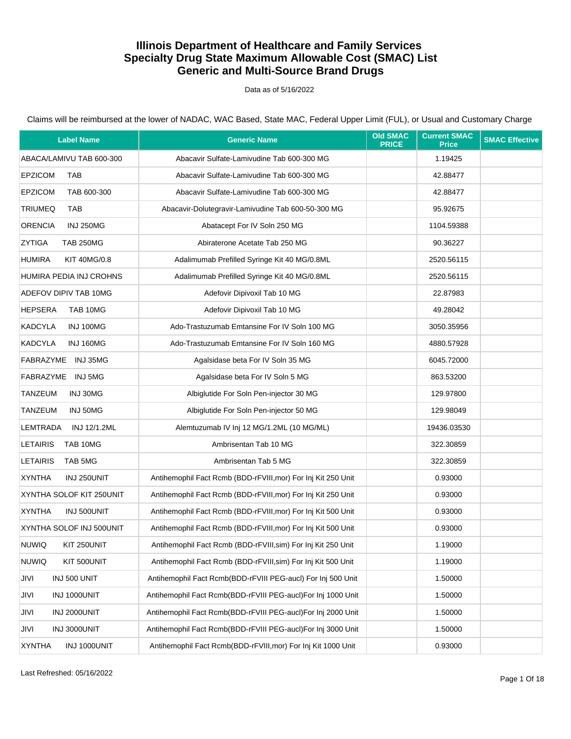Data as of 5/16/2022

| <b>Label Name</b>                  | <b>Generic Name</b>                                           | <b>Old SMAC</b><br><b>PRICE</b> | <b>Current SMAC</b><br><b>Price</b> | <b>SMAC Effective</b> |
|------------------------------------|---------------------------------------------------------------|---------------------------------|-------------------------------------|-----------------------|
| ABACA/LAMIVU TAB 600-300           | Abacavir Sulfate-Lamivudine Tab 600-300 MG                    |                                 | 1.19425                             |                       |
| <b>EPZICOM</b><br><b>TAB</b>       | Abacavir Sulfate-Lamivudine Tab 600-300 MG                    |                                 | 42.88477                            |                       |
| <b>EPZICOM</b><br>TAB 600-300      | Abacavir Sulfate-Lamivudine Tab 600-300 MG                    |                                 | 42.88477                            |                       |
| <b>TRIUMEQ</b><br><b>TAB</b>       | Abacavir-Dolutegravir-Lamivudine Tab 600-50-300 MG            |                                 | 95.92675                            |                       |
| <b>ORENCIA</b><br><b>INJ 250MG</b> | Abatacept For IV Soln 250 MG                                  |                                 | 1104.59388                          |                       |
| <b>ZYTIGA</b><br><b>TAB 250MG</b>  | Abiraterone Acetate Tab 250 MG                                |                                 | 90.36227                            |                       |
| <b>HUMIRA</b><br>KIT 40MG/0.8      | Adalimumab Prefilled Syringe Kit 40 MG/0.8ML                  |                                 | 2520.56115                          |                       |
| HUMIRA PEDIA INJ CROHNS            | Adalimumab Prefilled Syringe Kit 40 MG/0.8ML                  |                                 | 2520.56115                          |                       |
| ADEFOV DIPIV TAB 10MG              | Adefovir Dipivoxil Tab 10 MG                                  |                                 | 22.87983                            |                       |
| <b>HEPSERA</b><br>TAB 10MG         | Adefovir Dipivoxil Tab 10 MG                                  |                                 | 49.28042                            |                       |
| <b>KADCYLA</b><br>INJ 100MG        | Ado-Trastuzumab Emtansine For IV Soln 100 MG                  |                                 | 3050.35956                          |                       |
| <b>KADCYLA</b><br><b>INJ 160MG</b> | Ado-Trastuzumab Emtansine For IV Soln 160 MG                  |                                 | 4880.57928                          |                       |
| FABRAZYME INJ 35MG                 | Agalsidase beta For IV Soln 35 MG                             |                                 | 6045.72000                          |                       |
| FABRAZYME INJ 5MG                  | Agalsidase beta For IV Soln 5 MG                              |                                 | 863.53200                           |                       |
| <b>TANZEUM</b><br>INJ 30MG         | Albiglutide For Soln Pen-injector 30 MG                       |                                 | 129.97800                           |                       |
| <b>TANZEUM</b><br>INJ 50MG         | Albiglutide For Soln Pen-injector 50 MG                       |                                 | 129.98049                           |                       |
| LEMTRADA<br>INJ 12/1.2ML           | Alemtuzumab IV Inj 12 MG/1.2ML (10 MG/ML)                     |                                 | 19436.03530                         |                       |
| <b>LETAIRIS</b><br>TAB 10MG        | Ambrisentan Tab 10 MG                                         |                                 | 322.30859                           |                       |
| <b>LETAIRIS</b><br>TAB 5MG         | Ambrisentan Tab 5 MG                                          |                                 | 322.30859                           |                       |
| <b>XYNTHA</b><br>INJ 250UNIT       | Antihemophil Fact Rcmb (BDD-rFVIII, mor) For Inj Kit 250 Unit |                                 | 0.93000                             |                       |
| XYNTHA SOLOF KIT 250UNIT           | Antihemophil Fact Rcmb (BDD-rFVIII, mor) For Inj Kit 250 Unit |                                 | 0.93000                             |                       |
| <b>XYNTHA</b><br>INJ 500UNIT       | Antihemophil Fact Rcmb (BDD-rFVIII, mor) For Inj Kit 500 Unit |                                 | 0.93000                             |                       |
| XYNTHA SOLOF INJ 500UNIT           | Antihemophil Fact Rcmb (BDD-rFVIII, mor) For Inj Kit 500 Unit |                                 | 0.93000                             |                       |
| <b>NUWIQ</b><br>KIT 250UNIT        | Antihemophil Fact Rcmb (BDD-rFVIII, sim) For Inj Kit 250 Unit |                                 | 1.19000                             |                       |
| <b>NUWIQ</b><br>KIT 500UNIT        | Antihemophil Fact Rcmb (BDD-rFVIII, sim) For Inj Kit 500 Unit |                                 | 1.19000                             |                       |
| JIVI<br>INJ 500 UNIT               | Antihemophil Fact Rcmb(BDD-rFVIII PEG-aucl) For Inj 500 Unit  |                                 | 1.50000                             |                       |
| JIVI<br>INJ 1000UNIT               | Antihemophil Fact Rcmb(BDD-rFVIII PEG-aucl)For Inj 1000 Unit  |                                 | 1.50000                             |                       |
| INJ 2000UNIT<br>JIVI               | Antihemophil Fact Rcmb(BDD-rFVIII PEG-aucl)For Inj 2000 Unit  |                                 | 1.50000                             |                       |
| JIVI<br>INJ 3000UNIT               | Antihemophil Fact Rcmb(BDD-rFVIII PEG-aucl)For Inj 3000 Unit  |                                 | 1.50000                             |                       |
| <b>XYNTHA</b><br>INJ 1000UNIT      | Antihemophil Fact Rcmb(BDD-rFVIII, mor) For Inj Kit 1000 Unit |                                 | 0.93000                             |                       |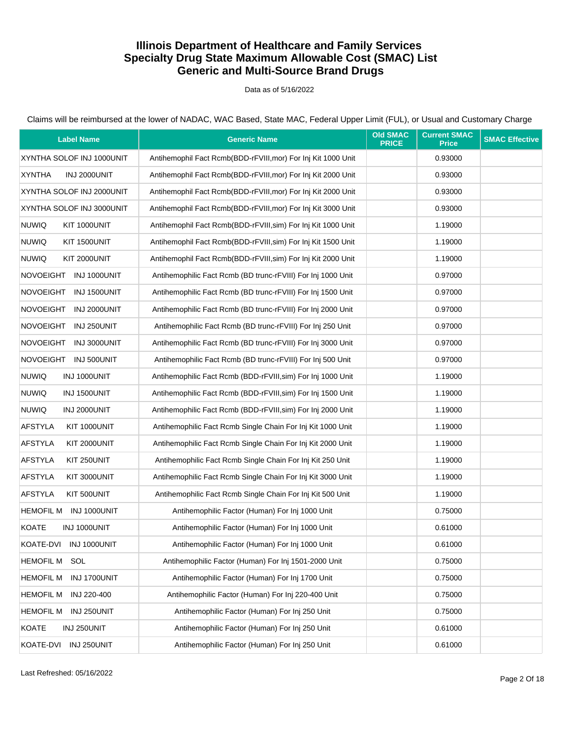Data as of 5/16/2022

| <b>Label Name</b>                | <b>Generic Name</b>                                           | <b>Old SMAC</b><br><b>PRICE</b> | <b>Current SMAC</b><br><b>Price</b> | <b>SMAC Effective</b> |
|----------------------------------|---------------------------------------------------------------|---------------------------------|-------------------------------------|-----------------------|
| XYNTHA SOLOF INJ 1000UNIT        | Antihemophil Fact Rcmb(BDD-rFVIII, mor) For Inj Kit 1000 Unit |                                 | 0.93000                             |                       |
| <b>XYNTHA</b><br>INJ 2000UNIT    | Antihemophil Fact Rcmb(BDD-rFVIII, mor) For Inj Kit 2000 Unit |                                 | 0.93000                             |                       |
| XYNTHA SOLOF INJ 2000UNIT        | Antihemophil Fact Rcmb(BDD-rFVIII, mor) For Inj Kit 2000 Unit |                                 | 0.93000                             |                       |
| XYNTHA SOLOF INJ 3000UNIT        | Antihemophil Fact Rcmb(BDD-rFVIII, mor) For Inj Kit 3000 Unit |                                 | 0.93000                             |                       |
| <b>NUWIQ</b><br>KIT 1000UNIT     | Antihemophil Fact Rcmb(BDD-rFVIII, sim) For Inj Kit 1000 Unit |                                 | 1.19000                             |                       |
| <b>NUWIQ</b><br>KIT 1500UNIT     | Antihemophil Fact Rcmb(BDD-rFVIII, sim) For Inj Kit 1500 Unit |                                 | 1.19000                             |                       |
| <b>NUWIQ</b><br>KIT 2000UNIT     | Antihemophil Fact Rcmb(BDD-rFVIII, sim) For Inj Kit 2000 Unit |                                 | 1.19000                             |                       |
| NOVOEIGHT INJ 1000UNIT           | Antihemophilic Fact Rcmb (BD trunc-rFVIII) For Inj 1000 Unit  |                                 | 0.97000                             |                       |
| NOVOEIGHT INJ 1500UNIT           | Antihemophilic Fact Rcmb (BD trunc-rFVIII) For Inj 1500 Unit  |                                 | 0.97000                             |                       |
| <b>NOVOEIGHT</b><br>INJ 2000UNIT | Antihemophilic Fact Rcmb (BD trunc-rFVIII) For Inj 2000 Unit  |                                 | 0.97000                             |                       |
| NOVOEIGHT INJ 250UNIT            | Antihemophilic Fact Rcmb (BD trunc-rFVIII) For Inj 250 Unit   |                                 | 0.97000                             |                       |
| <b>NOVOEIGHT</b><br>INJ 3000UNIT | Antihemophilic Fact Rcmb (BD trunc-rFVIII) For Inj 3000 Unit  |                                 | 0.97000                             |                       |
| NOVOEIGHT INJ 500UNIT            | Antihemophilic Fact Rcmb (BD trunc-rFVIII) For Inj 500 Unit   |                                 | 0.97000                             |                       |
| <b>NUWIQ</b><br>INJ 1000UNIT     | Antihemophilic Fact Rcmb (BDD-rFVIII, sim) For Inj 1000 Unit  |                                 | 1.19000                             |                       |
| <b>NUWIQ</b><br>INJ 1500UNIT     | Antihemophilic Fact Rcmb (BDD-rFVIII, sim) For Inj 1500 Unit  |                                 | 1.19000                             |                       |
| <b>NUWIQ</b><br>INJ 2000UNIT     | Antihemophilic Fact Rcmb (BDD-rFVIII, sim) For Inj 2000 Unit  |                                 | 1.19000                             |                       |
| <b>AFSTYLA</b><br>KIT 1000UNIT   | Antihemophilic Fact Rcmb Single Chain For Inj Kit 1000 Unit   |                                 | 1.19000                             |                       |
| <b>AFSTYLA</b><br>KIT 2000UNIT   | Antihemophilic Fact Rcmb Single Chain For Inj Kit 2000 Unit   |                                 | 1.19000                             |                       |
| <b>AFSTYLA</b><br>KIT 250UNIT    | Antihemophilic Fact Rcmb Single Chain For Inj Kit 250 Unit    |                                 | 1.19000                             |                       |
| <b>AFSTYLA</b><br>KIT 3000UNIT   | Antihemophilic Fact Rcmb Single Chain For Inj Kit 3000 Unit   |                                 | 1.19000                             |                       |
| <b>AFSTYLA</b><br>KIT 500UNIT    | Antihemophilic Fact Rcmb Single Chain For Inj Kit 500 Unit    |                                 | 1.19000                             |                       |
| <b>HEMOFIL M</b><br>INJ 1000UNIT | Antihemophilic Factor (Human) For Inj 1000 Unit               |                                 | 0.75000                             |                       |
| <b>KOATE</b><br>INJ 1000UNIT     | Antihemophilic Factor (Human) For Inj 1000 Unit               |                                 | 0.61000                             |                       |
| KOATE-DVI INJ 1000UNIT           | Antihemophilic Factor (Human) For Inj 1000 Unit               |                                 | 0.61000                             |                       |
| <b>HEMOFIL M</b><br>SOL          | Antihemophilic Factor (Human) For Inj 1501-2000 Unit          |                                 | 0.75000                             |                       |
| INJ 1700UNIT<br>HEMOFIL M        | Antihemophilic Factor (Human) For Inj 1700 Unit               |                                 | 0.75000                             |                       |
| <b>HEMOFIL M</b><br>INJ 220-400  | Antihemophilic Factor (Human) For Inj 220-400 Unit            |                                 | 0.75000                             |                       |
| <b>HEMOFIL M</b><br>INJ 250UNIT  | Antihemophilic Factor (Human) For Inj 250 Unit                |                                 | 0.75000                             |                       |
| <b>KOATE</b><br>INJ 250UNIT      | Antihemophilic Factor (Human) For Inj 250 Unit                |                                 | 0.61000                             |                       |
| INJ 250UNIT<br>KOATE-DVI         | Antihemophilic Factor (Human) For Inj 250 Unit                |                                 | 0.61000                             |                       |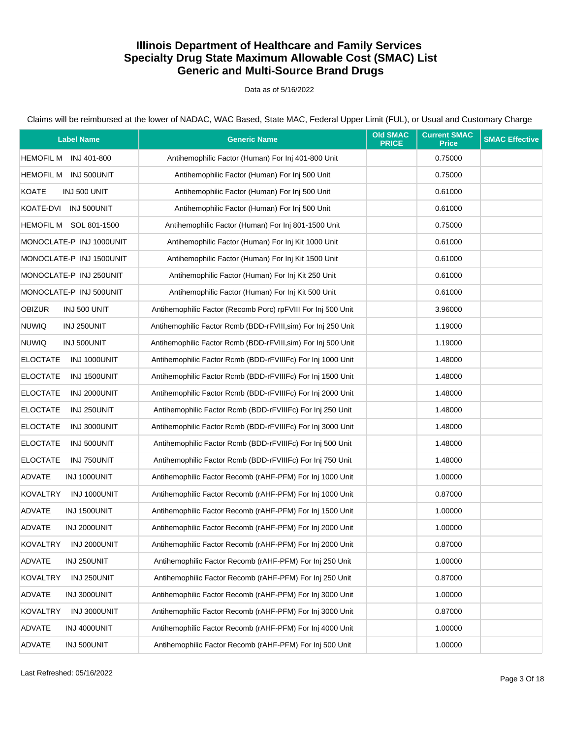Data as of 5/16/2022

| <b>Label Name</b>               | <b>Generic Name</b>                                           | <b>Old SMAC</b><br><b>PRICE</b> | <b>Current SMAC</b><br><b>Price</b> | <b>SMAC Effective</b> |
|---------------------------------|---------------------------------------------------------------|---------------------------------|-------------------------------------|-----------------------|
| <b>HEMOFIL M</b><br>INJ 401-800 | Antihemophilic Factor (Human) For Inj 401-800 Unit            |                                 | 0.75000                             |                       |
| <b>HEMOFIL M</b><br>INJ 500UNIT | Antihemophilic Factor (Human) For Inj 500 Unit                |                                 | 0.75000                             |                       |
| KOATE<br>INJ 500 UNIT           | Antihemophilic Factor (Human) For Inj 500 Unit                |                                 | 0.61000                             |                       |
| KOATE-DVI INJ 500UNIT           | Antihemophilic Factor (Human) For Inj 500 Unit                |                                 | 0.61000                             |                       |
| HEMOFIL M SOL 801-1500          | Antihemophilic Factor (Human) For Inj 801-1500 Unit           |                                 | 0.75000                             |                       |
| MONOCLATE-P INJ 1000UNIT        | Antihemophilic Factor (Human) For Inj Kit 1000 Unit           |                                 | 0.61000                             |                       |
| MONOCLATE-P INJ 1500UNIT        | Antihemophilic Factor (Human) For Inj Kit 1500 Unit           |                                 | 0.61000                             |                       |
| MONOCLATE-P INJ 250UNIT         | Antihemophilic Factor (Human) For Inj Kit 250 Unit            |                                 | 0.61000                             |                       |
| MONOCLATE-P INJ 500UNIT         | Antihemophilic Factor (Human) For Inj Kit 500 Unit            |                                 | 0.61000                             |                       |
| <b>OBIZUR</b><br>INJ 500 UNIT   | Antihemophilic Factor (Recomb Porc) rpFVIII For Inj 500 Unit  |                                 | 3.96000                             |                       |
| <b>NUWIQ</b><br>INJ 250UNIT     | Antihemophilic Factor Rcmb (BDD-rFVIII, sim) For Inj 250 Unit |                                 | 1.19000                             |                       |
| <b>NUWIQ</b><br>INJ 500UNIT     | Antihemophilic Factor Rcmb (BDD-rFVIII, sim) For Inj 500 Unit |                                 | 1.19000                             |                       |
| <b>ELOCTATE</b><br>INJ 1000UNIT | Antihemophilic Factor Rcmb (BDD-rFVIIIFc) For Inj 1000 Unit   |                                 | 1.48000                             |                       |
| <b>ELOCTATE</b><br>INJ 1500UNIT | Antihemophilic Factor Rcmb (BDD-rFVIIIFc) For Inj 1500 Unit   |                                 | 1.48000                             |                       |
| <b>ELOCTATE</b><br>INJ 2000UNIT | Antihemophilic Factor Rcmb (BDD-rFVIIIFc) For Inj 2000 Unit   |                                 | 1.48000                             |                       |
| <b>ELOCTATE</b><br>INJ 250UNIT  | Antihemophilic Factor Rcmb (BDD-rFVIIIFc) For Inj 250 Unit    |                                 | 1.48000                             |                       |
| <b>ELOCTATE</b><br>INJ 3000UNIT | Antihemophilic Factor Rcmb (BDD-rFVIIIFc) For Inj 3000 Unit   |                                 | 1.48000                             |                       |
| <b>ELOCTATE</b><br>INJ 500UNIT  | Antihemophilic Factor Rcmb (BDD-rFVIIIFc) For Inj 500 Unit    |                                 | 1.48000                             |                       |
| <b>ELOCTATE</b><br>INJ 750UNIT  | Antihemophilic Factor Rcmb (BDD-rFVIIIFc) For Inj 750 Unit    |                                 | 1.48000                             |                       |
| <b>ADVATE</b><br>INJ 1000UNIT   | Antihemophilic Factor Recomb (rAHF-PFM) For Inj 1000 Unit     |                                 | 1.00000                             |                       |
| <b>KOVALTRY</b><br>INJ 1000UNIT | Antihemophilic Factor Recomb (rAHF-PFM) For Inj 1000 Unit     |                                 | 0.87000                             |                       |
| ADVATE<br>INJ 1500UNIT          | Antihemophilic Factor Recomb (rAHF-PFM) For Inj 1500 Unit     |                                 | 1.00000                             |                       |
| ADVATE<br>INJ 2000UNIT          | Antihemophilic Factor Recomb (rAHF-PFM) For Inj 2000 Unit     |                                 | 1.00000                             |                       |
| KOVALTRY<br>INJ 2000UNIT        | Antihemophilic Factor Recomb (rAHF-PFM) For Inj 2000 Unit     |                                 | 0.87000                             |                       |
| ADVATE<br>INJ 250UNIT           | Antihemophilic Factor Recomb (rAHF-PFM) For Inj 250 Unit      |                                 | 1.00000                             |                       |
| <b>KOVALTRY</b><br>INJ 250UNIT  | Antihemophilic Factor Recomb (rAHF-PFM) For Inj 250 Unit      |                                 | 0.87000                             |                       |
| ADVATE<br>INJ 3000UNIT          | Antihemophilic Factor Recomb (rAHF-PFM) For Inj 3000 Unit     |                                 | 1.00000                             |                       |
| <b>KOVALTRY</b><br>INJ 3000UNIT | Antihemophilic Factor Recomb (rAHF-PFM) For Inj 3000 Unit     |                                 | 0.87000                             |                       |
| ADVATE<br>INJ 4000UNIT          | Antihemophilic Factor Recomb (rAHF-PFM) For Inj 4000 Unit     |                                 | 1.00000                             |                       |
| ADVATE<br>INJ 500UNIT           | Antihemophilic Factor Recomb (rAHF-PFM) For Inj 500 Unit      |                                 | 1.00000                             |                       |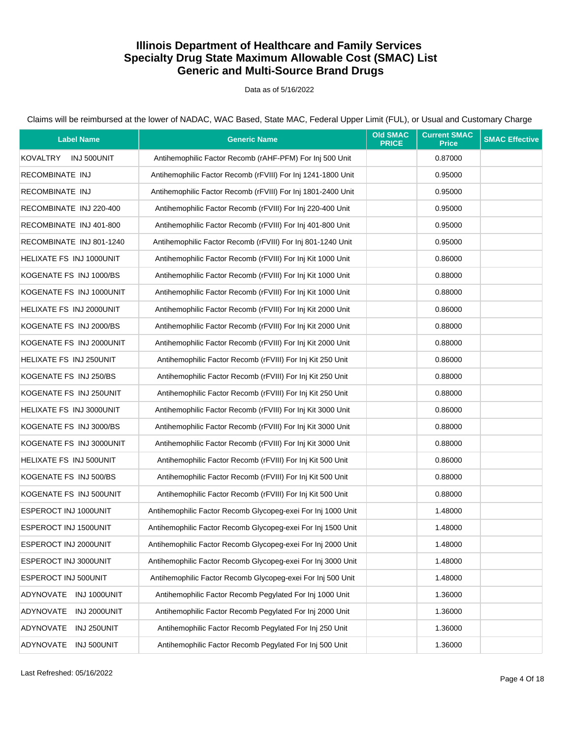Data as of 5/16/2022

| <b>Label Name</b>        | <b>Generic Name</b>                                          | <b>Old SMAC</b><br><b>PRICE</b> | <b>Current SMAC</b><br><b>Price</b> | <b>SMAC Effective</b> |
|--------------------------|--------------------------------------------------------------|---------------------------------|-------------------------------------|-----------------------|
| KOVALTRY<br>INJ 500UNIT  | Antihemophilic Factor Recomb (rAHF-PFM) For Inj 500 Unit     |                                 | 0.87000                             |                       |
| RECOMBINATE INJ          | Antihemophilic Factor Recomb (rFVIII) For Inj 1241-1800 Unit |                                 | 0.95000                             |                       |
| RECOMBINATE INJ          | Antihemophilic Factor Recomb (rFVIII) For Inj 1801-2400 Unit |                                 | 0.95000                             |                       |
| RECOMBINATE INJ 220-400  | Antihemophilic Factor Recomb (rFVIII) For Inj 220-400 Unit   |                                 | 0.95000                             |                       |
| RECOMBINATE INJ 401-800  | Antihemophilic Factor Recomb (rFVIII) For Inj 401-800 Unit   |                                 | 0.95000                             |                       |
| RECOMBINATE INJ 801-1240 | Antihemophilic Factor Recomb (rFVIII) For Inj 801-1240 Unit  |                                 | 0.95000                             |                       |
| HELIXATE FS INJ 1000UNIT | Antihemophilic Factor Recomb (rFVIII) For Inj Kit 1000 Unit  |                                 | 0.86000                             |                       |
| KOGENATE FS INJ 1000/BS  | Antihemophilic Factor Recomb (rFVIII) For Inj Kit 1000 Unit  |                                 | 0.88000                             |                       |
| KOGENATE FS INJ 1000UNIT | Antihemophilic Factor Recomb (rFVIII) For Inj Kit 1000 Unit  |                                 | 0.88000                             |                       |
| HELIXATE FS INJ 2000UNIT | Antihemophilic Factor Recomb (rFVIII) For Inj Kit 2000 Unit  |                                 | 0.86000                             |                       |
| KOGENATE FS INJ 2000/BS  | Antihemophilic Factor Recomb (rFVIII) For Inj Kit 2000 Unit  |                                 | 0.88000                             |                       |
| KOGENATE FS INJ 2000UNIT | Antihemophilic Factor Recomb (rFVIII) For Inj Kit 2000 Unit  |                                 | 0.88000                             |                       |
| HELIXATE FS INJ 250UNIT  | Antihemophilic Factor Recomb (rFVIII) For Inj Kit 250 Unit   |                                 | 0.86000                             |                       |
| KOGENATE FS INJ 250/BS   | Antihemophilic Factor Recomb (rFVIII) For Inj Kit 250 Unit   |                                 | 0.88000                             |                       |
| KOGENATE FS INJ 250UNIT  | Antihemophilic Factor Recomb (rFVIII) For Inj Kit 250 Unit   |                                 | 0.88000                             |                       |
| HELIXATE FS INJ 3000UNIT | Antihemophilic Factor Recomb (rFVIII) For Inj Kit 3000 Unit  |                                 | 0.86000                             |                       |
| KOGENATE FS INJ 3000/BS  | Antihemophilic Factor Recomb (rFVIII) For Inj Kit 3000 Unit  |                                 | 0.88000                             |                       |
| KOGENATE FS INJ 3000UNIT | Antihemophilic Factor Recomb (rFVIII) For Inj Kit 3000 Unit  |                                 | 0.88000                             |                       |
| HELIXATE FS INJ 500UNIT  | Antihemophilic Factor Recomb (rFVIII) For Inj Kit 500 Unit   |                                 | 0.86000                             |                       |
| KOGENATE FS INJ 500/BS   | Antihemophilic Factor Recomb (rFVIII) For Inj Kit 500 Unit   |                                 | 0.88000                             |                       |
| KOGENATE FS INJ 500UNIT  | Antihemophilic Factor Recomb (rFVIII) For Inj Kit 500 Unit   |                                 | 0.88000                             |                       |
| ESPEROCT INJ 1000UNIT    | Antihemophilic Factor Recomb Glycopeg-exei For Inj 1000 Unit |                                 | 1.48000                             |                       |
| ESPEROCT INJ 1500UNIT    | Antihemophilic Factor Recomb Glycopeq-exei For Inj 1500 Unit |                                 | 1.48000                             |                       |
| ESPEROCT INJ 2000UNIT    | Antihemophilic Factor Recomb Glycopeg-exei For Inj 2000 Unit |                                 | 1.48000                             |                       |
| ESPEROCT INJ 3000UNIT    | Antihemophilic Factor Recomb Glycopeg-exei For Inj 3000 Unit |                                 | 1.48000                             |                       |
| ESPEROCT INJ 500UNIT     | Antihemophilic Factor Recomb Glycopeg-exei For Inj 500 Unit  |                                 | 1.48000                             |                       |
| ADYNOVATE INJ 1000UNIT   | Antihemophilic Factor Recomb Pegylated For Inj 1000 Unit     |                                 | 1.36000                             |                       |
| ADYNOVATE INJ 2000UNIT   | Antihemophilic Factor Recomb Pegylated For Inj 2000 Unit     |                                 | 1.36000                             |                       |
| ADYNOVATE<br>INJ 250UNIT | Antihemophilic Factor Recomb Pegylated For Inj 250 Unit      |                                 | 1.36000                             |                       |
| ADYNOVATE INJ 500UNIT    | Antihemophilic Factor Recomb Pegylated For Inj 500 Unit      |                                 | 1.36000                             |                       |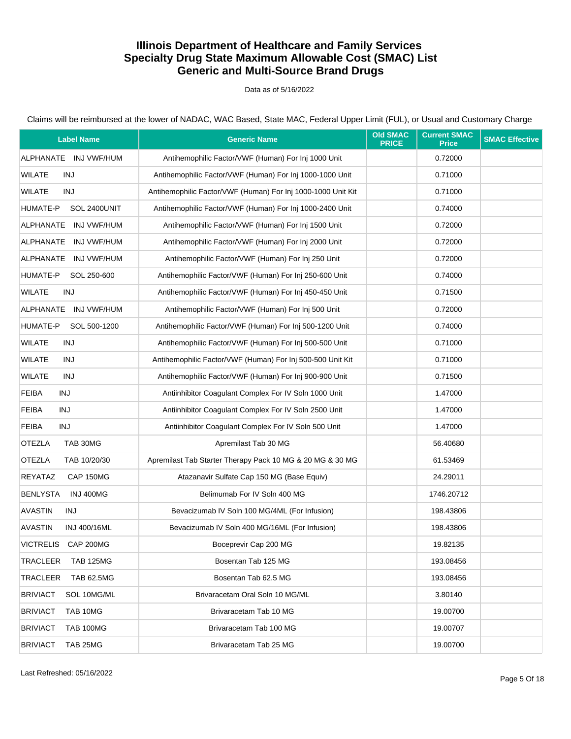#### Data as of 5/16/2022

| <b>Label Name</b>                    | <b>Generic Name</b>                                          | <b>Old SMAC</b><br><b>PRICE</b> | <b>Current SMAC</b><br><b>Price</b> | <b>SMAC Effective</b> |
|--------------------------------------|--------------------------------------------------------------|---------------------------------|-------------------------------------|-----------------------|
| ALPHANATE INJ VWF/HUM                | Antihemophilic Factor/VWF (Human) For Inj 1000 Unit          |                                 | 0.72000                             |                       |
| <b>WILATE</b><br>INJ                 | Antihemophilic Factor/VWF (Human) For Inj 1000-1000 Unit     |                                 | 0.71000                             |                       |
| <b>WILATE</b><br>INJ                 | Antihemophilic Factor/VWF (Human) For Inj 1000-1000 Unit Kit |                                 | 0.71000                             |                       |
| HUMATE-P<br>SOL 2400UNIT             | Antihemophilic Factor/VWF (Human) For Inj 1000-2400 Unit     |                                 | 0.74000                             |                       |
| ALPHANATE INJ VWF/HUM                | Antihemophilic Factor/VWF (Human) For Inj 1500 Unit          |                                 | 0.72000                             |                       |
| ALPHANATE<br>INJ VWF/HUM             | Antihemophilic Factor/VWF (Human) For Inj 2000 Unit          |                                 | 0.72000                             |                       |
| ALPHANATE INJ VWF/HUM                | Antihemophilic Factor/VWF (Human) For Inj 250 Unit           |                                 | 0.72000                             |                       |
| HUMATE-P<br>SOL 250-600              | Antihemophilic Factor/VWF (Human) For Inj 250-600 Unit       |                                 | 0.74000                             |                       |
| WILATE<br>INJ                        | Antihemophilic Factor/VWF (Human) For Inj 450-450 Unit       |                                 | 0.71500                             |                       |
| ALPHANATE INJ VWF/HUM                | Antihemophilic Factor/VWF (Human) For Inj 500 Unit           |                                 | 0.72000                             |                       |
| HUMATE-P<br>SOL 500-1200             | Antihemophilic Factor/VWF (Human) For Inj 500-1200 Unit      |                                 | 0.74000                             |                       |
| <b>WILATE</b><br>INJ                 | Antihemophilic Factor/VWF (Human) For Inj 500-500 Unit       |                                 | 0.71000                             |                       |
| <b>WILATE</b><br>INJ                 | Antihemophilic Factor/VWF (Human) For Inj 500-500 Unit Kit   |                                 | 0.71000                             |                       |
| <b>WILATE</b><br>INJ                 | Antihemophilic Factor/VWF (Human) For Inj 900-900 Unit       |                                 | 0.71500                             |                       |
| <b>FEIBA</b><br>INJ                  | Antiinhibitor Coaqulant Complex For IV Soln 1000 Unit        |                                 | 1.47000                             |                       |
| <b>FEIBA</b><br>INJ                  | Antiinhibitor Coagulant Complex For IV Soln 2500 Unit        |                                 | 1.47000                             |                       |
| <b>FEIBA</b><br>INJ                  | Antiinhibitor Coagulant Complex For IV Soln 500 Unit         |                                 | 1.47000                             |                       |
| <b>OTEZLA</b><br>TAB 30MG            | Apremilast Tab 30 MG                                         |                                 | 56.40680                            |                       |
| <b>OTEZLA</b><br>TAB 10/20/30        | Apremilast Tab Starter Therapy Pack 10 MG & 20 MG & 30 MG    |                                 | 61.53469                            |                       |
| REYATAZ<br>CAP 150MG                 | Atazanavir Sulfate Cap 150 MG (Base Equiv)                   |                                 | 24.29011                            |                       |
| <b>BENLYSTA</b><br><b>INJ 400MG</b>  | Belimumab For IV Soln 400 MG                                 |                                 | 1746.20712                          |                       |
| <b>AVASTIN</b><br>INJ                | Bevacizumab IV Soln 100 MG/4ML (For Infusion)                |                                 | 198.43806                           |                       |
| <b>AVASTIN</b><br>INJ 400/16ML       | Bevacizumab IV Soln 400 MG/16ML (For Infusion)               |                                 | 198.43806                           |                       |
| VICTRELIS CAP 200MG                  | Boceprevir Cap 200 MG                                        |                                 | 19.82135                            |                       |
| TRACLEER<br><b>TAB 125MG</b>         | Bosentan Tab 125 MG                                          |                                 | 193.08456                           |                       |
| <b>TRACLEER</b><br><b>TAB 62.5MG</b> | Bosentan Tab 62.5 MG                                         |                                 | 193.08456                           |                       |
| <b>BRIVIACT</b><br>SOL 10MG/ML       | Brivaracetam Oral Soln 10 MG/ML                              |                                 | 3.80140                             |                       |
| <b>BRIVIACT</b><br>TAB 10MG          | Brivaracetam Tab 10 MG                                       |                                 | 19.00700                            |                       |
| <b>BRIVIACT</b><br>TAB 100MG         | Brivaracetam Tab 100 MG                                      |                                 | 19.00707                            |                       |
| <b>BRIVIACT</b><br>TAB 25MG          | Brivaracetam Tab 25 MG                                       |                                 | 19.00700                            |                       |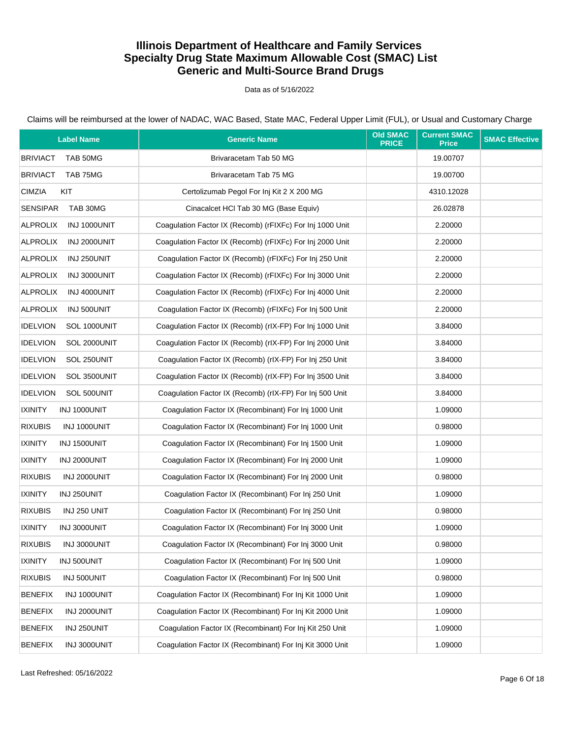Data as of 5/16/2022

| <b>Label Name</b>               | <b>Generic Name</b>                                       | <b>Old SMAC</b><br><b>PRICE</b> | <b>Current SMAC</b><br>Price | <b>SMAC Effective</b> |
|---------------------------------|-----------------------------------------------------------|---------------------------------|------------------------------|-----------------------|
| <b>BRIVIACT</b><br>TAB 50MG     | Brivaracetam Tab 50 MG                                    |                                 | 19.00707                     |                       |
| <b>BRIVIACT</b><br>TAB 75MG     | Brivaracetam Tab 75 MG                                    |                                 | 19.00700                     |                       |
| <b>CIMZIA</b><br>KIT            | Certolizumab Pegol For Inj Kit 2 X 200 MG                 |                                 | 4310.12028                   |                       |
| <b>SENSIPAR</b><br>TAB 30MG     | Cinacalcet HCl Tab 30 MG (Base Equiv)                     |                                 | 26.02878                     |                       |
| <b>ALPROLIX</b><br>INJ 1000UNIT | Coagulation Factor IX (Recomb) (rFIXFc) For Inj 1000 Unit |                                 | 2.20000                      |                       |
| <b>ALPROLIX</b><br>INJ 2000UNIT | Coagulation Factor IX (Recomb) (rFIXFc) For Inj 2000 Unit |                                 | 2.20000                      |                       |
| <b>ALPROLIX</b><br>INJ 250UNIT  | Coagulation Factor IX (Recomb) (rFIXFc) For Inj 250 Unit  |                                 | 2.20000                      |                       |
| <b>ALPROLIX</b><br>INJ 3000UNIT | Coagulation Factor IX (Recomb) (rFIXFc) For Inj 3000 Unit |                                 | 2.20000                      |                       |
| <b>ALPROLIX</b><br>INJ 4000UNIT | Coagulation Factor IX (Recomb) (rFIXFc) For Inj 4000 Unit |                                 | 2.20000                      |                       |
| <b>ALPROLIX</b><br>INJ 500UNIT  | Coagulation Factor IX (Recomb) (rFIXFc) For Inj 500 Unit  |                                 | 2.20000                      |                       |
| <b>IDELVION</b><br>SOL 1000UNIT | Coagulation Factor IX (Recomb) (rIX-FP) For Inj 1000 Unit |                                 | 3.84000                      |                       |
| <b>IDELVION</b><br>SOL 2000UNIT | Coagulation Factor IX (Recomb) (rIX-FP) For Inj 2000 Unit |                                 | 3.84000                      |                       |
| <b>IDELVION</b><br>SOL 250UNIT  | Coagulation Factor IX (Recomb) (rIX-FP) For Inj 250 Unit  |                                 | 3.84000                      |                       |
| <b>IDELVION</b><br>SOL 3500UNIT | Coaqulation Factor IX (Recomb) (rIX-FP) For Inj 3500 Unit |                                 | 3.84000                      |                       |
| <b>IDELVION</b><br>SOL 500UNIT  | Coaqulation Factor IX (Recomb) (rIX-FP) For Inj 500 Unit  |                                 | 3.84000                      |                       |
| <b>IXINITY</b><br>INJ 1000UNIT  | Coagulation Factor IX (Recombinant) For Inj 1000 Unit     |                                 | 1.09000                      |                       |
| <b>RIXUBIS</b><br>INJ 1000UNIT  | Coagulation Factor IX (Recombinant) For Inj 1000 Unit     |                                 | 0.98000                      |                       |
| <b>IXINITY</b><br>INJ 1500UNIT  | Coagulation Factor IX (Recombinant) For Inj 1500 Unit     |                                 | 1.09000                      |                       |
| <b>IXINITY</b><br>INJ 2000UNIT  | Coagulation Factor IX (Recombinant) For Inj 2000 Unit     |                                 | 1.09000                      |                       |
| <b>RIXUBIS</b><br>INJ 2000UNIT  | Coagulation Factor IX (Recombinant) For Inj 2000 Unit     |                                 | 0.98000                      |                       |
| <b>IXINITY</b><br>INJ 250UNIT   | Coagulation Factor IX (Recombinant) For Inj 250 Unit      |                                 | 1.09000                      |                       |
| <b>RIXUBIS</b><br>INJ 250 UNIT  | Coagulation Factor IX (Recombinant) For Inj 250 Unit      |                                 | 0.98000                      |                       |
| <b>IXINITY</b><br>INJ 3000UNIT  | Coagulation Factor IX (Recombinant) For Inj 3000 Unit     |                                 | 1.09000                      |                       |
| <b>RIXUBIS</b><br>INJ 3000UNIT  | Coagulation Factor IX (Recombinant) For Inj 3000 Unit     |                                 | 0.98000                      |                       |
| <b>IXINITY</b><br>INJ 500UNIT   | Coagulation Factor IX (Recombinant) For Inj 500 Unit      |                                 | 1.09000                      |                       |
| <b>RIXUBIS</b><br>INJ 500UNIT   | Coagulation Factor IX (Recombinant) For Inj 500 Unit      |                                 | 0.98000                      |                       |
| <b>BENEFIX</b><br>INJ 1000UNIT  | Coagulation Factor IX (Recombinant) For Inj Kit 1000 Unit |                                 | 1.09000                      |                       |
| <b>BENEFIX</b><br>INJ 2000UNIT  | Coaqulation Factor IX (Recombinant) For Inj Kit 2000 Unit |                                 | 1.09000                      |                       |
| <b>BENEFIX</b><br>INJ 250UNIT   | Coagulation Factor IX (Recombinant) For Inj Kit 250 Unit  |                                 | 1.09000                      |                       |
| <b>BENEFIX</b><br>INJ 3000UNIT  | Coagulation Factor IX (Recombinant) For Inj Kit 3000 Unit |                                 | 1.09000                      |                       |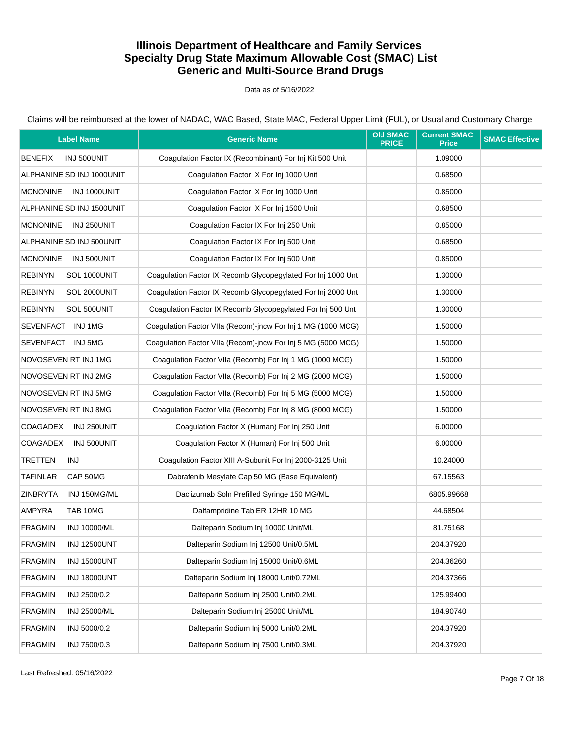Data as of 5/16/2022

| <b>Label Name</b>                     | <b>Generic Name</b>                                          | <b>Old SMAC</b><br><b>PRICE</b> | <b>Current SMAC</b><br><b>Price</b> | <b>SMAC Effective</b> |
|---------------------------------------|--------------------------------------------------------------|---------------------------------|-------------------------------------|-----------------------|
| <b>BENEFIX</b><br>INJ 500UNIT         | Coaqulation Factor IX (Recombinant) For Inj Kit 500 Unit     |                                 | 1.09000                             |                       |
| ALPHANINE SD INJ 1000UNIT             | Coagulation Factor IX For Inj 1000 Unit                      |                                 | 0.68500                             |                       |
| <b>MONONINE</b><br>INJ 1000UNIT       | Coagulation Factor IX For Inj 1000 Unit                      |                                 | 0.85000                             |                       |
| ALPHANINE SD INJ 1500UNIT             | Coagulation Factor IX For Inj 1500 Unit                      |                                 | 0.68500                             |                       |
| <b>MONONINE</b><br>INJ 250UNIT        | Coaqulation Factor IX For Inj 250 Unit                       |                                 | 0.85000                             |                       |
| ALPHANINE SD INJ 500UNIT              | Coagulation Factor IX For Inj 500 Unit                       |                                 | 0.68500                             |                       |
| <b>MONONINE</b><br>INJ 500UNIT        | Coagulation Factor IX For Inj 500 Unit                       |                                 | 0.85000                             |                       |
| <b>REBINYN</b><br>SOL 1000UNIT        | Coagulation Factor IX Recomb Glycopegylated For Inj 1000 Unt |                                 | 1.30000                             |                       |
| <b>REBINYN</b><br>SOL 2000UNIT        | Coagulation Factor IX Recomb Glycopegylated For Inj 2000 Unt |                                 | 1.30000                             |                       |
| <b>REBINYN</b><br>SOL 500UNIT         | Coagulation Factor IX Recomb Glycopegylated For Inj 500 Unt  |                                 | 1.30000                             |                       |
| SEVENFACT INJ1MG                      | Coagulation Factor VIIa (Recom)-jncw For Inj 1 MG (1000 MCG) |                                 | 1.50000                             |                       |
| SEVENFACT INJ 5MG                     | Coagulation Factor VIIa (Recom)-incw For Inj 5 MG (5000 MCG) |                                 | 1.50000                             |                       |
| NOVOSEVEN RT INJ 1MG                  | Coaqulation Factor VIIa (Recomb) For Inj 1 MG (1000 MCG)     |                                 | 1.50000                             |                       |
| NOVOSEVEN RT INJ 2MG                  | Coagulation Factor VIIa (Recomb) For Inj 2 MG (2000 MCG)     |                                 | 1.50000                             |                       |
| NOVOSEVEN RT INJ 5MG                  | Coagulation Factor VIIa (Recomb) For Inj 5 MG (5000 MCG)     |                                 | 1.50000                             |                       |
| NOVOSEVEN RT INJ 8MG                  | Coagulation Factor VIIa (Recomb) For Inj 8 MG (8000 MCG)     |                                 | 1.50000                             |                       |
| COAGADEX<br>INJ 250UNIT               | Coagulation Factor X (Human) For Inj 250 Unit                |                                 | 6.00000                             |                       |
| <b>COAGADEX</b><br>INJ 500UNIT        | Coagulation Factor X (Human) For Inj 500 Unit                |                                 | 6.00000                             |                       |
| <b>TRETTEN</b><br>INJ                 | Coagulation Factor XIII A-Subunit For Inj 2000-3125 Unit     |                                 | 10.24000                            |                       |
| <b>TAFINLAR</b><br>CAP 50MG           | Dabrafenib Mesylate Cap 50 MG (Base Equivalent)              |                                 | 67.15563                            |                       |
| <b>ZINBRYTA</b><br>INJ 150MG/ML       | Daclizumab Soln Prefilled Syringe 150 MG/ML                  |                                 | 6805.99668                          |                       |
| AMPYRA<br>TAB 10MG                    | Dalfampridine Tab ER 12HR 10 MG                              |                                 | 44.68504                            |                       |
| <b>FRAGMIN</b><br>INJ 10000/ML        | Dalteparin Sodium Inj 10000 Unit/ML                          |                                 | 81.75168                            |                       |
| <b>FRAGMIN</b><br><b>INJ 12500UNT</b> | Dalteparin Sodium Inj 12500 Unit/0.5ML                       |                                 | 204.37920                           |                       |
| <b>FRAGMIN</b><br><b>INJ 15000UNT</b> | Dalteparin Sodium Inj 15000 Unit/0.6ML                       |                                 | 204.36260                           |                       |
| <b>FRAGMIN</b><br><b>INJ 18000UNT</b> | Dalteparin Sodium Inj 18000 Unit/0.72ML                      |                                 | 204.37366                           |                       |
| <b>FRAGMIN</b><br>INJ 2500/0.2        | Dalteparin Sodium Inj 2500 Unit/0.2ML                        |                                 | 125.99400                           |                       |
| <b>FRAGMIN</b><br>INJ 25000/ML        | Dalteparin Sodium Inj 25000 Unit/ML                          |                                 | 184.90740                           |                       |
| <b>FRAGMIN</b><br>INJ 5000/0.2        | Dalteparin Sodium Inj 5000 Unit/0.2ML                        |                                 | 204.37920                           |                       |
| <b>FRAGMIN</b><br>INJ 7500/0.3        | Dalteparin Sodium Inj 7500 Unit/0.3ML                        |                                 | 204.37920                           |                       |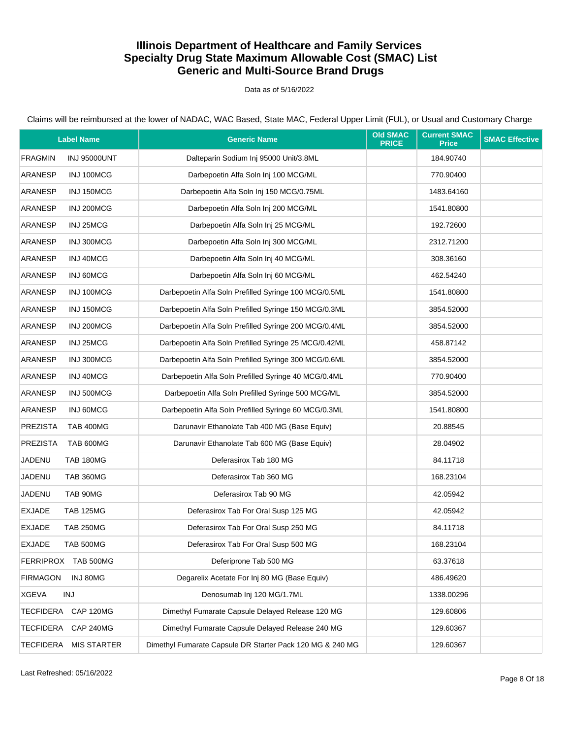Data as of 5/16/2022

| <b>Label Name</b>                 |                     | <b>Generic Name</b>                                       | <b>Old SMAC</b><br><b>PRICE</b> | <b>Current SMAC</b><br><b>Price</b> | <b>SMAC Effective</b> |
|-----------------------------------|---------------------|-----------------------------------------------------------|---------------------------------|-------------------------------------|-----------------------|
| <b>FRAGMIN</b>                    | <b>INJ 95000UNT</b> | Dalteparin Sodium Inj 95000 Unit/3.8ML                    |                                 | 184.90740                           |                       |
| ARANESP                           | INJ 100MCG          | Darbepoetin Alfa Soln Inj 100 MCG/ML                      |                                 | 770.90400                           |                       |
| ARANESP                           | INJ 150MCG          | Darbepoetin Alfa Soln Inj 150 MCG/0.75ML                  |                                 | 1483.64160                          |                       |
| ARANESP                           | INJ 200MCG          | Darbepoetin Alfa Soln Inj 200 MCG/ML                      |                                 | 1541.80800                          |                       |
| ARANESP                           | INJ 25MCG           | Darbepoetin Alfa Soln Inj 25 MCG/ML                       |                                 | 192.72600                           |                       |
| ARANESP                           | INJ 300MCG          | Darbepoetin Alfa Soln Inj 300 MCG/ML                      |                                 | 2312.71200                          |                       |
| ARANESP                           | INJ 40MCG           | Darbepoetin Alfa Soln Inj 40 MCG/ML                       |                                 | 308.36160                           |                       |
| ARANESP                           | INJ 60MCG           | Darbepoetin Alfa Soln Inj 60 MCG/ML                       |                                 | 462.54240                           |                       |
| ARANESP                           | INJ 100MCG          | Darbepoetin Alfa Soln Prefilled Syringe 100 MCG/0.5ML     |                                 | 1541.80800                          |                       |
| ARANESP                           | INJ 150MCG          | Darbepoetin Alfa Soln Prefilled Syringe 150 MCG/0.3ML     |                                 | 3854.52000                          |                       |
| ARANESP                           | INJ 200MCG          | Darbepoetin Alfa Soln Prefilled Syringe 200 MCG/0.4ML     |                                 | 3854.52000                          |                       |
| ARANESP                           | INJ 25MCG           | Darbepoetin Alfa Soln Prefilled Syringe 25 MCG/0.42ML     |                                 | 458.87142                           |                       |
| ARANESP                           | INJ 300MCG          | Darbepoetin Alfa Soln Prefilled Syringe 300 MCG/0.6ML     |                                 | 3854.52000                          |                       |
| ARANESP                           | INJ 40MCG           | Darbepoetin Alfa Soln Prefilled Syringe 40 MCG/0.4ML      |                                 | 770.90400                           |                       |
| ARANESP                           | INJ 500MCG          | Darbepoetin Alfa Soln Prefilled Syringe 500 MCG/ML        |                                 | 3854.52000                          |                       |
| ARANESP                           | INJ 60MCG           | Darbepoetin Alfa Soln Prefilled Syringe 60 MCG/0.3ML      |                                 | 1541.80800                          |                       |
| <b>PREZISTA</b>                   | <b>TAB 400MG</b>    | Darunavir Ethanolate Tab 400 MG (Base Equiv)              |                                 | 20.88545                            |                       |
| <b>PREZISTA</b>                   | TAB 600MG           | Darunavir Ethanolate Tab 600 MG (Base Equiv)              |                                 | 28.04902                            |                       |
| JADENU<br><b>TAB 180MG</b>        |                     | Deferasirox Tab 180 MG                                    |                                 | 84.11718                            |                       |
| JADENU<br>TAB 360MG               |                     | Deferasirox Tab 360 MG                                    |                                 | 168.23104                           |                       |
| JADENU<br>TAB 90MG                |                     | Deferasirox Tab 90 MG                                     |                                 | 42.05942                            |                       |
| <b>EXJADE</b><br><b>TAB 125MG</b> |                     | Deferasirox Tab For Oral Susp 125 MG                      |                                 | 42.05942                            |                       |
| <b>EXJADE</b><br><b>TAB 250MG</b> |                     | Deferasirox Tab For Oral Susp 250 MG                      |                                 | 84.11718                            |                       |
| EXJADE<br>TAB 500MG               |                     | Deferasirox Tab For Oral Susp 500 MG                      |                                 | 168.23104                           |                       |
| FERRIPROX TAB 500MG               |                     | Deferiprone Tab 500 MG                                    |                                 | 63.37618                            |                       |
| <b>FIRMAGON</b>                   | INJ 80MG            | Degarelix Acetate For Inj 80 MG (Base Equiv)              |                                 | 486.49620                           |                       |
| <b>XGEVA</b><br><b>INJ</b>        |                     | Denosumab Inj 120 MG/1.7ML                                |                                 | 1338.00296                          |                       |
| TECFIDERA                         | CAP 120MG           | Dimethyl Fumarate Capsule Delayed Release 120 MG          |                                 | 129.60806                           |                       |
| <b>TECFIDERA</b>                  | CAP 240MG           | Dimethyl Fumarate Capsule Delayed Release 240 MG          |                                 | 129.60367                           |                       |
| <b>TECFIDERA</b>                  | <b>MIS STARTER</b>  | Dimethyl Fumarate Capsule DR Starter Pack 120 MG & 240 MG |                                 | 129.60367                           |                       |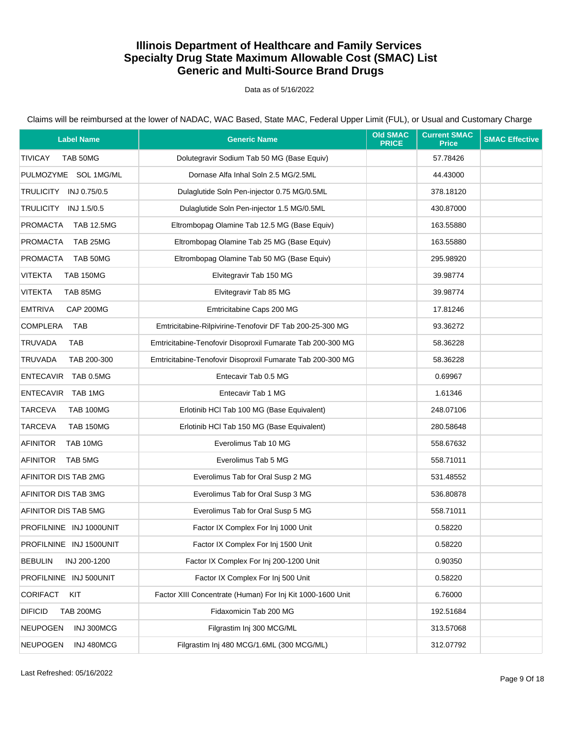Data as of 5/16/2022

Claims will be reimbursed at the lower of NADAC, WAC Based, State MAC, Federal Upper Limit (FUL), or Usual and Customary Charge

| <b>Label Name</b>                  | <b>Generic Name</b>                                        | <b>Old SMAC</b><br><b>PRICE</b> | <b>Current SMAC</b><br><b>Price</b> | <b>SMAC Effective</b> |
|------------------------------------|------------------------------------------------------------|---------------------------------|-------------------------------------|-----------------------|
| <b>TIVICAY</b><br>TAB 50MG         | Dolutegravir Sodium Tab 50 MG (Base Equiv)                 |                                 | 57.78426                            |                       |
| PULMOZYME SOL 1MG/ML               | Dornase Alfa Inhal Soln 2.5 MG/2.5ML                       |                                 | 44.43000                            |                       |
| TRULICITY INJ 0.75/0.5             | Dulaglutide Soln Pen-injector 0.75 MG/0.5ML                |                                 | 378.18120                           |                       |
| TRULICITY<br>INJ 1.5/0.5           | Dulaglutide Soln Pen-injector 1.5 MG/0.5ML                 |                                 | 430.87000                           |                       |
| PROMACTA<br><b>TAB 12.5MG</b>      | Eltrombopag Olamine Tab 12.5 MG (Base Equiv)               |                                 | 163.55880                           |                       |
| <b>PROMACTA</b><br>TAB 25MG        | Eltrombopag Olamine Tab 25 MG (Base Equiv)                 |                                 | 163.55880                           |                       |
| <b>PROMACTA</b><br>TAB 50MG        | Eltrombopag Olamine Tab 50 MG (Base Equiv)                 |                                 | 295.98920                           |                       |
| <b>VITEKTA</b><br><b>TAB 150MG</b> | Elvitegravir Tab 150 MG                                    |                                 | 39.98774                            |                       |
| <b>VITEKTA</b><br>TAB 85MG         | Elvitegravir Tab 85 MG                                     |                                 | 39.98774                            |                       |
| <b>EMTRIVA</b><br>CAP 200MG        | Emtricitabine Caps 200 MG                                  |                                 | 17.81246                            |                       |
| <b>COMPLERA</b><br>TAB             | Emtricitabine-Rilpivirine-Tenofovir DF Tab 200-25-300 MG   |                                 | 93.36272                            |                       |
| <b>TRUVADA</b><br>TAB              | Emtricitabine-Tenofovir Disoproxil Fumarate Tab 200-300 MG |                                 | 58.36228                            |                       |
| TRUVADA<br>TAB 200-300             | Emtricitabine-Tenofovir Disoproxil Fumarate Tab 200-300 MG |                                 | 58.36228                            |                       |
| ENTECAVIR TAB 0.5MG                | Entecavir Tab 0.5 MG                                       |                                 | 0.69967                             |                       |
| ENTECAVIR TAB 1MG                  | Entecavir Tab 1 MG                                         |                                 | 1.61346                             |                       |
| <b>TARCEVA</b><br><b>TAB 100MG</b> | Erlotinib HCl Tab 100 MG (Base Equivalent)                 |                                 | 248.07106                           |                       |
| <b>TARCEVA</b><br><b>TAB 150MG</b> | Erlotinib HCl Tab 150 MG (Base Equivalent)                 |                                 | 280.58648                           |                       |
| <b>AFINITOR</b><br>TAB 10MG        | Everolimus Tab 10 MG                                       |                                 | 558.67632                           |                       |
| <b>AFINITOR</b><br>TAB 5MG         | Everolimus Tab 5 MG                                        |                                 | 558.71011                           |                       |
| AFINITOR DIS TAB 2MG               | Everolimus Tab for Oral Susp 2 MG                          |                                 | 531.48552                           |                       |
| AFINITOR DIS TAB 3MG               | Everolimus Tab for Oral Susp 3 MG                          |                                 | 536.80878                           |                       |
| AFINITOR DIS TAB 5MG               | Everolimus Tab for Oral Susp 5 MG                          |                                 | 558.71011                           |                       |
| PROFILNINE INJ 1000UNIT            | Factor IX Complex For Inj 1000 Unit                        |                                 | 0.58220                             |                       |
| PROFILNINE INJ 1500UNIT            | Factor IX Complex For Inj 1500 Unit                        |                                 | 0.58220                             |                       |
| <b>BEBULIN</b><br>INJ 200-1200     | Factor IX Complex For Inj 200-1200 Unit                    |                                 | 0.90350                             |                       |
| PROFILNINE INJ 500UNIT             | Factor IX Complex For Inj 500 Unit                         |                                 | 0.58220                             |                       |
| <b>CORIFACT</b><br>KIT             | Factor XIII Concentrate (Human) For Inj Kit 1000-1600 Unit |                                 | 6.76000                             |                       |
| <b>DIFICID</b><br><b>TAB 200MG</b> | Fidaxomicin Tab 200 MG                                     |                                 | 192.51684                           |                       |
| <b>NEUPOGEN</b><br>INJ 300MCG      | Filgrastim Inj 300 MCG/ML                                  |                                 | 313.57068                           |                       |
| INJ 480MCG<br><b>NEUPOGEN</b>      | Filgrastim Inj 480 MCG/1.6ML (300 MCG/ML)                  |                                 | 312.07792                           |                       |

Last Refreshed: 05/16/2022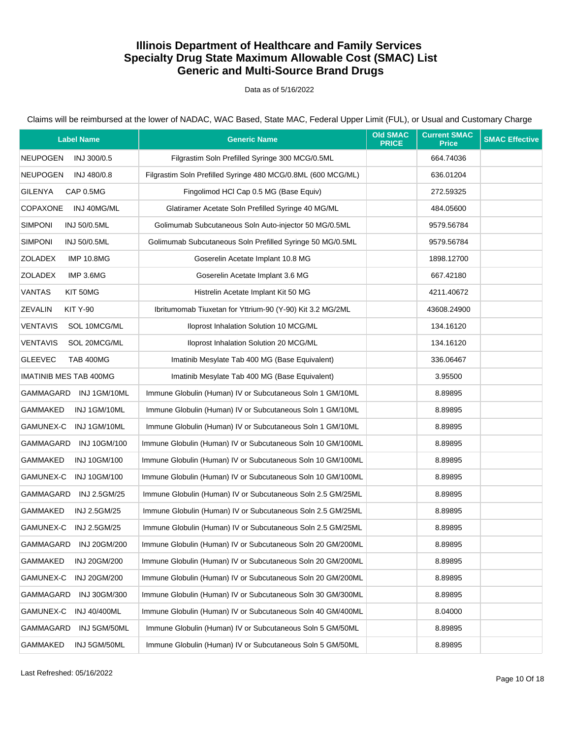Data as of 5/16/2022

| <b>Label Name</b>                   | <b>Generic Name</b>                                          | <b>Old SMAC</b><br><b>PRICE</b> | <b>Current SMAC</b><br><b>Price</b> | <b>SMAC Effective</b> |
|-------------------------------------|--------------------------------------------------------------|---------------------------------|-------------------------------------|-----------------------|
| <b>NEUPOGEN</b><br>INJ 300/0.5      | Filgrastim Soln Prefilled Syringe 300 MCG/0.5ML              |                                 | 664.74036                           |                       |
| NEUPOGEN<br>INJ 480/0.8             | Filgrastim Soln Prefilled Syringe 480 MCG/0.8ML (600 MCG/ML) |                                 | 636.01204                           |                       |
| <b>GILENYA</b><br>CAP 0.5MG         | Fingolimod HCl Cap 0.5 MG (Base Equiv)                       |                                 | 272.59325                           |                       |
| <b>COPAXONE</b><br>INJ 40MG/ML      | Glatiramer Acetate Soln Prefilled Syringe 40 MG/ML           |                                 | 484.05600                           |                       |
| <b>SIMPONI</b><br>INJ 50/0.5ML      | Golimumab Subcutaneous Soln Auto-injector 50 MG/0.5ML        |                                 | 9579.56784                          |                       |
| <b>SIMPONI</b><br>INJ 50/0.5ML      | Golimumab Subcutaneous Soln Prefilled Syringe 50 MG/0.5ML    |                                 | 9579.56784                          |                       |
| <b>ZOLADEX</b><br><b>IMP 10.8MG</b> | Goserelin Acetate Implant 10.8 MG                            |                                 | 1898.12700                          |                       |
| <b>ZOLADEX</b><br>IMP 3.6MG         | Goserelin Acetate Implant 3.6 MG                             |                                 | 667.42180                           |                       |
| <b>VANTAS</b><br>KIT 50MG           | Histrelin Acetate Implant Kit 50 MG                          |                                 | 4211.40672                          |                       |
| <b>ZEVALIN</b><br><b>KIT Y-90</b>   | Ibritumomab Tiuxetan for Yttrium-90 (Y-90) Kit 3.2 MG/2ML    |                                 | 43608.24900                         |                       |
| <b>VENTAVIS</b><br>SOL 10MCG/ML     | Iloprost Inhalation Solution 10 MCG/ML                       |                                 | 134.16120                           |                       |
| <b>VENTAVIS</b><br>SOL 20MCG/ML     | Iloprost Inhalation Solution 20 MCG/ML                       |                                 | 134.16120                           |                       |
| <b>GLEEVEC</b><br>TAB 400MG         | Imatinib Mesylate Tab 400 MG (Base Equivalent)               |                                 | 336.06467                           |                       |
| <b>IMATINIB MES TAB 400MG</b>       | Imatinib Mesylate Tab 400 MG (Base Equivalent)               |                                 | 3.95500                             |                       |
| GAMMAGARD INJ1GM/10ML               | Immune Globulin (Human) IV or Subcutaneous Soln 1 GM/10ML    |                                 | 8.89895                             |                       |
| GAMMAKED<br>INJ 1GM/10ML            | Immune Globulin (Human) IV or Subcutaneous Soln 1 GM/10ML    |                                 | 8.89895                             |                       |
| GAMUNEX-C INJ 1GM/10ML              | Immune Globulin (Human) IV or Subcutaneous Soln 1 GM/10ML    |                                 | 8.89895                             |                       |
| GAMMAGARD<br><b>INJ 10GM/100</b>    | Immune Globulin (Human) IV or Subcutaneous Soln 10 GM/100ML  |                                 | 8.89895                             |                       |
| GAMMAKED<br><b>INJ 10GM/100</b>     | Immune Globulin (Human) IV or Subcutaneous Soln 10 GM/100ML  |                                 | 8.89895                             |                       |
| GAMUNEX-C<br><b>INJ 10GM/100</b>    | Immune Globulin (Human) IV or Subcutaneous Soln 10 GM/100ML  |                                 | 8.89895                             |                       |
| GAMMAGARD<br><b>INJ 2.5GM/25</b>    | Immune Globulin (Human) IV or Subcutaneous Soln 2.5 GM/25ML  |                                 | 8.89895                             |                       |
| GAMMAKED<br>INJ 2.5GM/25            | Immune Globulin (Human) IV or Subcutaneous Soln 2.5 GM/25ML  |                                 | 8.89895                             |                       |
| GAMUNEX-C INJ 2.5GM/25              | Immune Globulin (Human) IV or Subcutaneous Soln 2.5 GM/25ML  |                                 | 8.89895                             |                       |
| GAMMAGARD<br>INJ 20GM/200           | Immune Globulin (Human) IV or Subcutaneous Soln 20 GM/200ML  |                                 | 8.89895                             |                       |
| GAMMAKED<br><b>INJ 20GM/200</b>     | Immune Globulin (Human) IV or Subcutaneous Soln 20 GM/200ML  |                                 | 8.89895                             |                       |
| GAMUNEX-C<br><b>INJ 20GM/200</b>    | Immune Globulin (Human) IV or Subcutaneous Soln 20 GM/200ML  |                                 | 8.89895                             |                       |
| GAMMAGARD<br>INJ 30GM/300           | Immune Globulin (Human) IV or Subcutaneous Soln 30 GM/300ML  |                                 | 8.89895                             |                       |
| GAMUNEX-C<br><b>INJ 40/400ML</b>    | Immune Globulin (Human) IV or Subcutaneous Soln 40 GM/400ML  |                                 | 8.04000                             |                       |
| GAMMAGARD<br>INJ 5GM/50ML           | Immune Globulin (Human) IV or Subcutaneous Soln 5 GM/50ML    |                                 | 8.89895                             |                       |
| GAMMAKED<br>INJ 5GM/50ML            | Immune Globulin (Human) IV or Subcutaneous Soln 5 GM/50ML    |                                 | 8.89895                             |                       |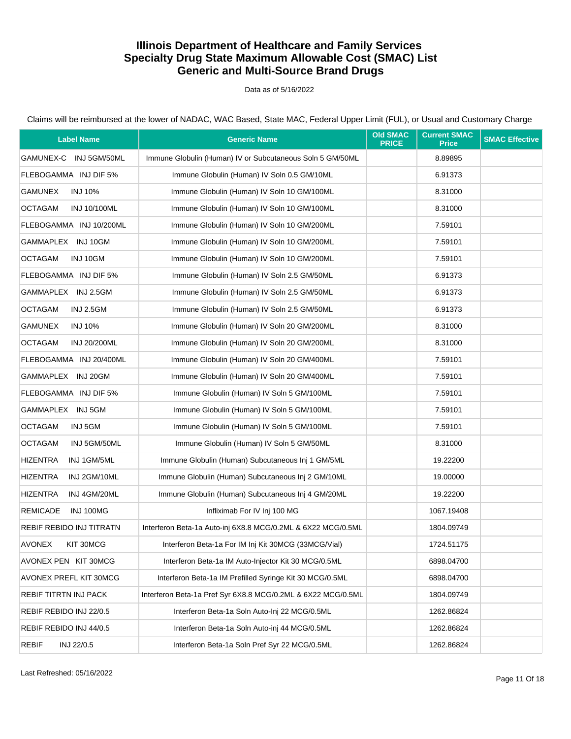Data as of 5/16/2022

| <b>Label Name</b>                     | <b>Generic Name</b>                                          | <b>Old SMAC</b><br><b>PRICE</b> | <b>Current SMAC</b><br><b>Price</b> | <b>SMAC Effective</b> |
|---------------------------------------|--------------------------------------------------------------|---------------------------------|-------------------------------------|-----------------------|
| GAMUNEX-C INJ 5GM/50ML                | Immune Globulin (Human) IV or Subcutaneous Soln 5 GM/50ML    |                                 | 8.89895                             |                       |
| FLEBOGAMMA INJ DIF 5%                 | Immune Globulin (Human) IV Soln 0.5 GM/10ML                  |                                 | 6.91373                             |                       |
| <b>GAMUNEX</b><br><b>INJ 10%</b>      | Immune Globulin (Human) IV Soln 10 GM/100ML                  |                                 | 8.31000                             |                       |
| <b>OCTAGAM</b><br>INJ 10/100ML        | Immune Globulin (Human) IV Soln 10 GM/100ML                  |                                 | 8.31000                             |                       |
| FLEBOGAMMA INJ 10/200ML               | Immune Globulin (Human) IV Soln 10 GM/200ML                  |                                 | 7.59101                             |                       |
| GAMMAPLEX INJ 10GM                    | Immune Globulin (Human) IV Soln 10 GM/200ML                  |                                 | 7.59101                             |                       |
| <b>OCTAGAM</b><br>INJ 10GM            | Immune Globulin (Human) IV Soln 10 GM/200ML                  |                                 | 7.59101                             |                       |
| FLEBOGAMMA INJ DIF 5%                 | Immune Globulin (Human) IV Soln 2.5 GM/50ML                  |                                 | 6.91373                             |                       |
| GAMMAPLEX INJ 2.5GM                   | Immune Globulin (Human) IV Soln 2.5 GM/50ML                  |                                 | 6.91373                             |                       |
| <b>OCTAGAM</b><br><b>INJ 2.5GM</b>    | Immune Globulin (Human) IV Soln 2.5 GM/50ML                  |                                 | 6.91373                             |                       |
| <b>GAMUNEX</b><br><b>INJ 10%</b>      | Immune Globulin (Human) IV Soln 20 GM/200ML                  |                                 | 8.31000                             |                       |
| <b>OCTAGAM</b><br><b>INJ 20/200ML</b> | Immune Globulin (Human) IV Soln 20 GM/200ML                  |                                 | 8.31000                             |                       |
| FLEBOGAMMA INJ 20/400ML               | Immune Globulin (Human) IV Soln 20 GM/400ML                  |                                 | 7.59101                             |                       |
| GAMMAPLEX INJ 20GM                    | Immune Globulin (Human) IV Soln 20 GM/400ML                  |                                 | 7.59101                             |                       |
| FLEBOGAMMA INJ DIF 5%                 | Immune Globulin (Human) IV Soln 5 GM/100ML                   |                                 | 7.59101                             |                       |
| GAMMAPLEX INJ 5GM                     | Immune Globulin (Human) IV Soln 5 GM/100ML                   |                                 | 7.59101                             |                       |
| <b>OCTAGAM</b><br>INJ 5GM             | Immune Globulin (Human) IV Soln 5 GM/100ML                   |                                 | 7.59101                             |                       |
| <b>OCTAGAM</b><br>INJ 5GM/50ML        | Immune Globulin (Human) IV Soln 5 GM/50ML                    |                                 | 8.31000                             |                       |
| <b>HIZENTRA</b><br>INJ 1GM/5ML        | Immune Globulin (Human) Subcutaneous Inj 1 GM/5ML            |                                 | 19.22200                            |                       |
| <b>HIZENTRA</b><br>INJ 2GM/10ML       | Immune Globulin (Human) Subcutaneous Inj 2 GM/10ML           |                                 | 19.00000                            |                       |
| <b>HIZENTRA</b><br>INJ 4GM/20ML       | Immune Globulin (Human) Subcutaneous Inj 4 GM/20ML           |                                 | 19.22200                            |                       |
| <b>REMICADE</b><br>INJ 100MG          | Infliximab For IV Inj 100 MG                                 |                                 | 1067.19408                          |                       |
| REBIF REBIDO INJ TITRATN              | Interferon Beta-1a Auto-inj 6X8.8 MCG/0.2ML & 6X22 MCG/0.5ML |                                 | 1804.09749                          |                       |
| <b>AVONEX</b><br>KIT 30MCG            | Interferon Beta-1a For IM Inj Kit 30MCG (33MCG/Vial)         |                                 | 1724.51175                          |                       |
| AVONEX PEN KIT 30MCG                  | Interferon Beta-1a IM Auto-Injector Kit 30 MCG/0.5ML         |                                 | 6898.04700                          |                       |
| AVONEX PREFL KIT 30MCG                | Interferon Beta-1a IM Prefilled Syringe Kit 30 MCG/0.5ML     |                                 | 6898.04700                          |                       |
| <b>REBIF TITRTN INJ PACK</b>          | Interferon Beta-1a Pref Syr 6X8.8 MCG/0.2ML & 6X22 MCG/0.5ML |                                 | 1804.09749                          |                       |
| REBIF REBIDO INJ 22/0.5               | Interferon Beta-1a Soln Auto-Inj 22 MCG/0.5ML                |                                 | 1262.86824                          |                       |
| REBIF REBIDO INJ 44/0.5               | Interferon Beta-1a Soln Auto-inj 44 MCG/0.5ML                |                                 | 1262.86824                          |                       |
| <b>REBIF</b><br>INJ 22/0.5            | Interferon Beta-1a Soln Pref Syr 22 MCG/0.5ML                |                                 | 1262.86824                          |                       |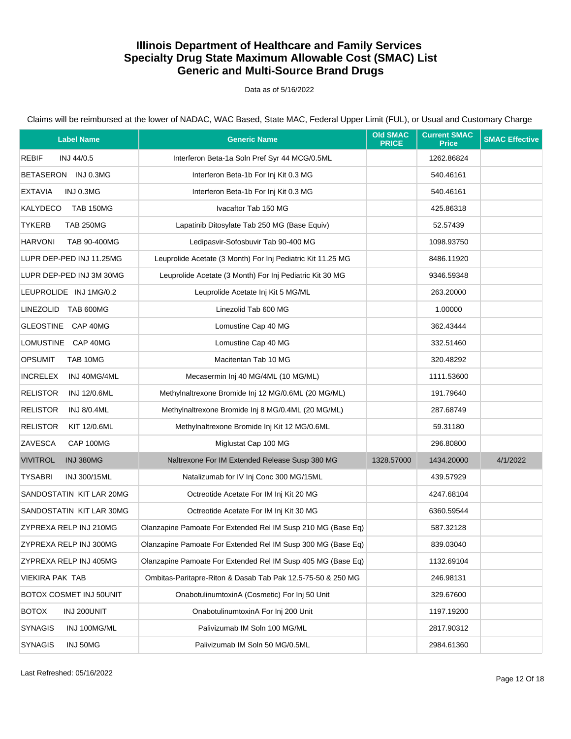Data as of 5/16/2022

| <b>Label Name</b>                     | <b>Generic Name</b>                                          | <b>Old SMAC</b><br><b>PRICE</b> | <b>Current SMAC</b><br><b>Price</b> | <b>SMAC Effective</b> |
|---------------------------------------|--------------------------------------------------------------|---------------------------------|-------------------------------------|-----------------------|
| REBIF<br>INJ 44/0.5                   | Interferon Beta-1a Soln Pref Syr 44 MCG/0.5ML                |                                 | 1262.86824                          |                       |
| BETASERON INJ 0.3MG                   | Interferon Beta-1b For Inj Kit 0.3 MG                        |                                 | 540.46161                           |                       |
| <b>EXTAVIA</b><br>INJ 0.3MG           | Interferon Beta-1b For Inj Kit 0.3 MG                        |                                 | 540.46161                           |                       |
| KALYDECO<br><b>TAB 150MG</b>          | Ivacaftor Tab 150 MG                                         |                                 | 425.86318                           |                       |
| <b>TYKERB</b><br><b>TAB 250MG</b>     | Lapatinib Ditosylate Tab 250 MG (Base Equiv)                 |                                 | 52.57439                            |                       |
| <b>HARVONI</b><br>TAB 90-400MG        | Ledipasvir-Sofosbuvir Tab 90-400 MG                          |                                 | 1098.93750                          |                       |
| LUPR DEP-PED INJ 11.25MG              | Leuprolide Acetate (3 Month) For Inj Pediatric Kit 11.25 MG  |                                 | 8486.11920                          |                       |
| LUPR DEP-PED INJ 3M 30MG              | Leuprolide Acetate (3 Month) For Inj Pediatric Kit 30 MG     |                                 | 9346.59348                          |                       |
| LEUPROLIDE INJ 1MG/0.2                | Leuprolide Acetate Inj Kit 5 MG/ML                           |                                 | 263.20000                           |                       |
| LINEZOLID TAB 600MG                   | Linezolid Tab 600 MG                                         |                                 | 1.00000                             |                       |
| GLEOSTINE CAP 40MG                    | Lomustine Cap 40 MG                                          |                                 | 362.43444                           |                       |
| LOMUSTINE CAP 40MG                    | Lomustine Cap 40 MG                                          |                                 | 332.51460                           |                       |
| <b>OPSUMIT</b><br>TAB 10MG            | Macitentan Tab 10 MG                                         |                                 | 320.48292                           |                       |
| <b>INCRELEX</b><br>INJ 40MG/4ML       | Mecasermin Inj 40 MG/4ML (10 MG/ML)                          |                                 | 1111.53600                          |                       |
| <b>RELISTOR</b><br>INJ 12/0.6ML       | Methylnaltrexone Bromide Inj 12 MG/0.6ML (20 MG/ML)          |                                 | 191.79640                           |                       |
| <b>RELISTOR</b><br><b>INJ 8/0.4ML</b> | Methylnaltrexone Bromide Inj 8 MG/0.4ML (20 MG/ML)           |                                 | 287.68749                           |                       |
| <b>RELISTOR</b><br>KIT 12/0.6ML       | Methylnaltrexone Bromide Inj Kit 12 MG/0.6ML                 |                                 | 59.31180                            |                       |
| ZAVESCA<br>CAP 100MG                  | Miglustat Cap 100 MG                                         |                                 | 296.80800                           |                       |
| <b>VIVITROL</b><br><b>INJ 380MG</b>   | Naltrexone For IM Extended Release Susp 380 MG               | 1328.57000                      | 1434.20000                          | 4/1/2022              |
| <b>TYSABRI</b><br>INJ 300/15ML        | Natalizumab for IV Inj Conc 300 MG/15ML                      |                                 | 439.57929                           |                       |
| SANDOSTATIN KIT LAR 20MG              | Octreotide Acetate For IM Inj Kit 20 MG                      |                                 | 4247.68104                          |                       |
| SANDOSTATIN KIT LAR 30MG              | Octreotide Acetate For IM Inj Kit 30 MG                      |                                 | 6360.59544                          |                       |
| ZYPREXA RELP INJ 210MG                | Olanzapine Pamoate For Extended Rel IM Susp 210 MG (Base Eq) |                                 | 587.32128                           |                       |
| ZYPREXA RELP INJ 300MG                | Olanzapine Pamoate For Extended Rel IM Susp 300 MG (Base Eq) |                                 | 839.03040                           |                       |
| ZYPREXA RELP INJ 405MG                | Olanzapine Pamoate For Extended Rel IM Susp 405 MG (Base Eq) |                                 | 1132.69104                          |                       |
| <b>VIEKIRA PAK TAB</b>                | Ombitas-Paritapre-Riton & Dasab Tab Pak 12.5-75-50 & 250 MG  |                                 | 246.98131                           |                       |
| BOTOX COSMET INJ 50UNIT               | OnabotulinumtoxinA (Cosmetic) For Inj 50 Unit                |                                 | 329.67600                           |                       |
| <b>BOTOX</b><br>INJ 200UNIT           | OnabotulinumtoxinA For Inj 200 Unit                          |                                 | 1197.19200                          |                       |
| <b>SYNAGIS</b><br>INJ 100MG/ML        | Palivizumab IM Soln 100 MG/ML                                |                                 | 2817.90312                          |                       |
| <b>SYNAGIS</b><br>INJ 50MG            | Palivizumab IM Soln 50 MG/0.5ML                              |                                 | 2984.61360                          |                       |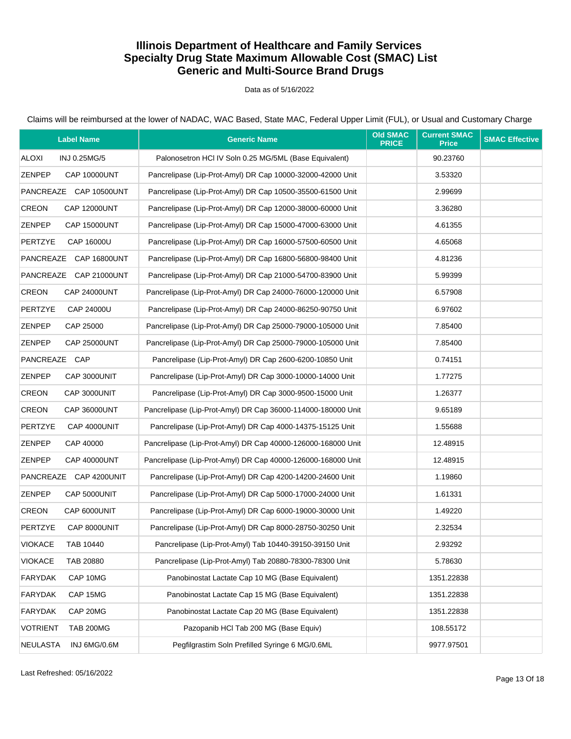Data as of 5/16/2022

| <b>Label Name</b>                    | <b>Generic Name</b>                                          | <b>Old SMAC</b><br><b>PRICE</b> | <b>Current SMAC</b><br><b>Price</b> | <b>SMAC Effective</b> |
|--------------------------------------|--------------------------------------------------------------|---------------------------------|-------------------------------------|-----------------------|
| ALOXI<br>INJ 0.25MG/5                | Palonosetron HCI IV Soln 0.25 MG/5ML (Base Equivalent)       |                                 | 90.23760                            |                       |
| <b>ZENPEP</b><br><b>CAP 10000UNT</b> | Pancrelipase (Lip-Prot-Amyl) DR Cap 10000-32000-42000 Unit   |                                 | 3.53320                             |                       |
| PANCREAZE CAP 10500UNT               | Pancrelipase (Lip-Prot-Amyl) DR Cap 10500-35500-61500 Unit   |                                 | 2.99699                             |                       |
| CREON<br><b>CAP 12000UNT</b>         | Pancrelipase (Lip-Prot-Amyl) DR Cap 12000-38000-60000 Unit   |                                 | 3.36280                             |                       |
| ZENPEP<br><b>CAP 15000UNT</b>        | Pancrelipase (Lip-Prot-Amyl) DR Cap 15000-47000-63000 Unit   |                                 | 4.61355                             |                       |
| <b>PERTZYE</b><br>CAP 16000U         | Pancrelipase (Lip-Prot-Amyl) DR Cap 16000-57500-60500 Unit   |                                 | 4.65068                             |                       |
| PANCREAZE CAP 16800UNT               | Pancrelipase (Lip-Prot-Amyl) DR Cap 16800-56800-98400 Unit   |                                 | 4.81236                             |                       |
| PANCREAZE CAP 21000UNT               | Pancrelipase (Lip-Prot-Amyl) DR Cap 21000-54700-83900 Unit   |                                 | 5.99399                             |                       |
| CREON<br><b>CAP 24000UNT</b>         | Pancrelipase (Lip-Prot-Amyl) DR Cap 24000-76000-120000 Unit  |                                 | 6.57908                             |                       |
| <b>PERTZYE</b><br>CAP 24000U         | Pancrelipase (Lip-Prot-Amyl) DR Cap 24000-86250-90750 Unit   |                                 | 6.97602                             |                       |
| <b>ZENPEP</b><br>CAP 25000           | Pancrelipase (Lip-Prot-Amyl) DR Cap 25000-79000-105000 Unit  |                                 | 7.85400                             |                       |
| ZENPEP<br><b>CAP 25000UNT</b>        | Pancrelipase (Lip-Prot-Amyl) DR Cap 25000-79000-105000 Unit  |                                 | 7.85400                             |                       |
| PANCREAZE CAP                        | Pancrelipase (Lip-Prot-Amyl) DR Cap 2600-6200-10850 Unit     |                                 | 0.74151                             |                       |
| <b>ZENPEP</b><br>CAP 3000UNIT        | Pancrelipase (Lip-Prot-Amyl) DR Cap 3000-10000-14000 Unit    |                                 | 1.77275                             |                       |
| CREON<br>CAP 3000UNIT                | Pancrelipase (Lip-Prot-Amyl) DR Cap 3000-9500-15000 Unit     |                                 | 1.26377                             |                       |
| CREON<br><b>CAP 36000UNT</b>         | Pancrelipase (Lip-Prot-Amyl) DR Cap 36000-114000-180000 Unit |                                 | 9.65189                             |                       |
| <b>PERTZYE</b><br>CAP 4000UNIT       | Pancrelipase (Lip-Prot-Amyl) DR Cap 4000-14375-15125 Unit    |                                 | 1.55688                             |                       |
| ZENPEP<br>CAP 40000                  | Pancrelipase (Lip-Prot-Amyl) DR Cap 40000-126000-168000 Unit |                                 | 12.48915                            |                       |
| ZENPEP<br><b>CAP 40000UNT</b>        | Pancrelipase (Lip-Prot-Amyl) DR Cap 40000-126000-168000 Unit |                                 | 12.48915                            |                       |
| PANCREAZE CAP 4200UNIT               | Pancrelipase (Lip-Prot-Amyl) DR Cap 4200-14200-24600 Unit    |                                 | 1.19860                             |                       |
| ZENPEP<br>CAP 5000UNIT               | Pancrelipase (Lip-Prot-Amyl) DR Cap 5000-17000-24000 Unit    |                                 | 1.61331                             |                       |
| <b>CREON</b><br>CAP 6000UNIT         | Pancrelipase (Lip-Prot-Amyl) DR Cap 6000-19000-30000 Unit    |                                 | 1.49220                             |                       |
| <b>PERTZYE</b><br>CAP 8000UNIT       | Pancrelipase (Lip-Prot-Amyl) DR Cap 8000-28750-30250 Unit    |                                 | 2.32534                             |                       |
| <b>VIOKACE</b><br>TAB 10440          | Pancrelipase (Lip-Prot-Amyl) Tab 10440-39150-39150 Unit      |                                 | 2.93292                             |                       |
| <b>VIOKACE</b><br>TAB 20880          | Pancrelipase (Lip-Prot-Amyl) Tab 20880-78300-78300 Unit      |                                 | 5.78630                             |                       |
| <b>FARYDAK</b><br>CAP 10MG           | Panobinostat Lactate Cap 10 MG (Base Equivalent)             |                                 | 1351.22838                          |                       |
| <b>FARYDAK</b><br>CAP 15MG           | Panobinostat Lactate Cap 15 MG (Base Equivalent)             |                                 | 1351.22838                          |                       |
| <b>FARYDAK</b><br>CAP 20MG           | Panobinostat Lactate Cap 20 MG (Base Equivalent)             |                                 | 1351.22838                          |                       |
| <b>VOTRIENT</b><br><b>TAB 200MG</b>  | Pazopanib HCl Tab 200 MG (Base Equiv)                        |                                 | 108.55172                           |                       |
| <b>NEULASTA</b><br>INJ 6MG/0.6M      | Pegfilgrastim Soln Prefilled Syringe 6 MG/0.6ML              |                                 | 9977.97501                          |                       |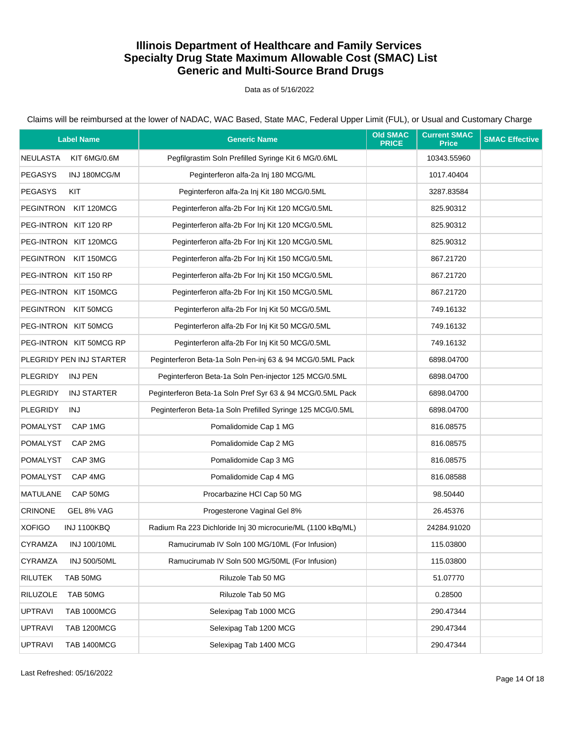Data as of 5/16/2022

| <b>Label Name</b>                     | <b>Generic Name</b>                                         | <b>Old SMAC</b><br><b>PRICE</b> | <b>Current SMAC</b><br><b>Price</b> | <b>SMAC Effective</b> |
|---------------------------------------|-------------------------------------------------------------|---------------------------------|-------------------------------------|-----------------------|
| <b>NEULASTA</b><br>KIT 6MG/0.6M       | Pegfilgrastim Soln Prefilled Syringe Kit 6 MG/0.6ML         |                                 | 10343.55960                         |                       |
| <b>PEGASYS</b><br>INJ 180MCG/M        | Peginterferon alfa-2a Inj 180 MCG/ML                        |                                 | 1017.40404                          |                       |
| <b>PEGASYS</b><br>KIT                 | Peginterferon alfa-2a Inj Kit 180 MCG/0.5ML                 |                                 | 3287.83584                          |                       |
| PEGINTRON KIT 120MCG                  | Peginterferon alfa-2b For Inj Kit 120 MCG/0.5ML             |                                 | 825.90312                           |                       |
| PEG-INTRON KIT 120 RP                 | Peginterferon alfa-2b For Inj Kit 120 MCG/0.5ML             |                                 | 825.90312                           |                       |
| PEG-INTRON KIT 120MCG                 | Peginterferon alfa-2b For Inj Kit 120 MCG/0.5ML             |                                 | 825.90312                           |                       |
| PEGINTRON KIT 150MCG                  | Peginterferon alfa-2b For Inj Kit 150 MCG/0.5ML             |                                 | 867.21720                           |                       |
| PEG-INTRON KIT 150 RP                 | Peginterferon alfa-2b For Inj Kit 150 MCG/0.5ML             |                                 | 867.21720                           |                       |
| PEG-INTRON KIT 150MCG                 | Peginterferon alfa-2b For Inj Kit 150 MCG/0.5ML             |                                 | 867.21720                           |                       |
| PEGINTRON KIT 50MCG                   | Peginterferon alfa-2b For Inj Kit 50 MCG/0.5ML              |                                 | 749.16132                           |                       |
| PEG-INTRON KIT 50MCG                  | Peginterferon alfa-2b For Inj Kit 50 MCG/0.5ML              |                                 | 749.16132                           |                       |
| PEG-INTRON KIT 50MCG RP               | Peginterferon alfa-2b For Inj Kit 50 MCG/0.5ML              |                                 | 749.16132                           |                       |
| PLEGRIDY PEN INJ STARTER              | Peginterferon Beta-1a Soln Pen-inj 63 & 94 MCG/0.5ML Pack   |                                 | 6898.04700                          |                       |
| <b>PLEGRIDY</b><br>INJ PEN            | Peginterferon Beta-1a Soln Pen-injector 125 MCG/0.5ML       |                                 | 6898.04700                          |                       |
| <b>PLEGRIDY</b><br><b>INJ STARTER</b> | Peginterferon Beta-1a Soln Pref Syr 63 & 94 MCG/0.5ML Pack  |                                 | 6898.04700                          |                       |
| <b>PLEGRIDY</b><br>INJ                | Peginterferon Beta-1a Soln Prefilled Syringe 125 MCG/0.5ML  |                                 | 6898.04700                          |                       |
| POMALYST<br>CAP 1MG                   | Pomalidomide Cap 1 MG                                       |                                 | 816.08575                           |                       |
| <b>POMALYST</b><br>CAP 2MG            | Pomalidomide Cap 2 MG                                       |                                 | 816.08575                           |                       |
| <b>POMALYST</b><br>CAP 3MG            | Pomalidomide Cap 3 MG                                       |                                 | 816.08575                           |                       |
| <b>POMALYST</b><br>CAP 4MG            | Pomalidomide Cap 4 MG                                       |                                 | 816.08588                           |                       |
| <b>MATULANE</b><br>CAP 50MG           | Procarbazine HCl Cap 50 MG                                  |                                 | 98.50440                            |                       |
| <b>CRINONE</b><br>GEL 8% VAG          | Progesterone Vaginal Gel 8%                                 |                                 | 26.45376                            |                       |
| <b>XOFIGO</b><br>INJ 1100KBQ          | Radium Ra 223 Dichloride Inj 30 microcurie/ML (1100 kBq/ML) |                                 | 24284.91020                         |                       |
| CYRAMZA<br>INJ 100/10ML               | Ramucirumab IV Soln 100 MG/10ML (For Infusion)              |                                 | 115.03800                           |                       |
| <b>CYRAMZA</b><br><b>INJ 500/50ML</b> | Ramucirumab IV Soln 500 MG/50ML (For Infusion)              |                                 | 115.03800                           |                       |
| <b>RILUTEK</b><br>TAB 50MG            | Riluzole Tab 50 MG                                          |                                 | 51.07770                            |                       |
| <b>RILUZOLE</b><br>TAB 50MG           | Riluzole Tab 50 MG                                          |                                 | 0.28500                             |                       |
| <b>UPTRAVI</b><br><b>TAB 1000MCG</b>  | Selexipag Tab 1000 MCG                                      |                                 | 290.47344                           |                       |
| <b>UPTRAVI</b><br><b>TAB 1200MCG</b>  | Selexipag Tab 1200 MCG                                      |                                 | 290.47344                           |                       |
| <b>UPTRAVI</b><br><b>TAB 1400MCG</b>  | Selexipag Tab 1400 MCG                                      |                                 | 290.47344                           |                       |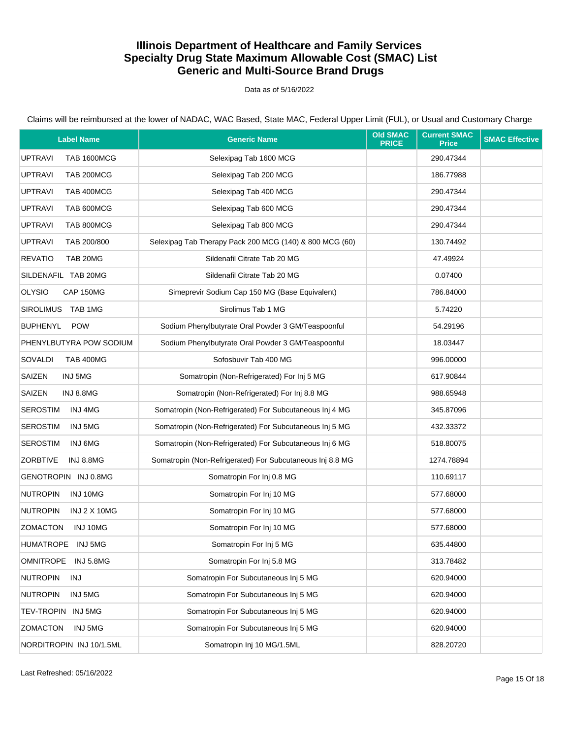Data as of 5/16/2022

| <b>Label Name</b>                      | <b>Generic Name</b>                                       | <b>Old SMAC</b><br><b>PRICE</b> | <b>Current SMAC</b><br><b>Price</b> | <b>SMAC Effective</b> |
|----------------------------------------|-----------------------------------------------------------|---------------------------------|-------------------------------------|-----------------------|
| <b>UPTRAVI</b><br><b>TAB 1600MCG</b>   | Selexipag Tab 1600 MCG                                    |                                 | 290.47344                           |                       |
| <b>UPTRAVI</b><br>TAB 200MCG           | Selexipag Tab 200 MCG                                     |                                 | 186.77988                           |                       |
| <b>UPTRAVI</b><br>TAB 400MCG           | Selexipag Tab 400 MCG                                     |                                 | 290.47344                           |                       |
| <b>UPTRAVI</b><br>TAB 600MCG           | Selexipag Tab 600 MCG                                     |                                 | 290.47344                           |                       |
| <b>UPTRAVI</b><br>TAB 800MCG           | Selexipag Tab 800 MCG                                     |                                 | 290.47344                           |                       |
| <b>UPTRAVI</b><br>TAB 200/800          | Selexipag Tab Therapy Pack 200 MCG (140) & 800 MCG (60)   |                                 | 130.74492                           |                       |
| <b>REVATIO</b><br>TAB 20MG             | Sildenafil Citrate Tab 20 MG                              |                                 | 47.49924                            |                       |
| SILDENAFIL TAB 20MG                    | Sildenafil Citrate Tab 20 MG                              |                                 | 0.07400                             |                       |
| <b>OLYSIO</b><br>CAP 150MG             | Simeprevir Sodium Cap 150 MG (Base Equivalent)            |                                 | 786.84000                           |                       |
| SIROLIMUS TAB 1MG                      | Sirolimus Tab 1 MG                                        |                                 | 5.74220                             |                       |
| <b>BUPHENYL</b><br><b>POW</b>          | Sodium Phenylbutyrate Oral Powder 3 GM/Teaspoonful        |                                 | 54.29196                            |                       |
| PHENYLBUTYRA POW SODIUM                | Sodium Phenylbutyrate Oral Powder 3 GM/Teaspoonful        |                                 | 18.03447                            |                       |
| SOVALDI<br><b>TAB 400MG</b>            | Sofosbuvir Tab 400 MG                                     |                                 | 996.00000                           |                       |
| SAIZEN<br>INJ 5MG                      | Somatropin (Non-Refrigerated) For Inj 5 MG                |                                 | 617.90844                           |                       |
| SAIZEN<br>INJ 8.8MG                    | Somatropin (Non-Refrigerated) For Inj 8.8 MG              |                                 | 988.65948                           |                       |
| <b>SEROSTIM</b><br>INJ 4MG             | Somatropin (Non-Refrigerated) For Subcutaneous Inj 4 MG   |                                 | 345.87096                           |                       |
| <b>SEROSTIM</b><br>INJ 5MG             | Somatropin (Non-Refrigerated) For Subcutaneous Inj 5 MG   |                                 | 432.33372                           |                       |
| <b>SEROSTIM</b><br>INJ 6MG             | Somatropin (Non-Refrigerated) For Subcutaneous Inj 6 MG   |                                 | 518.80075                           |                       |
| <b>ZORBTIVE</b><br>INJ 8.8MG           | Somatropin (Non-Refrigerated) For Subcutaneous Inj 8.8 MG |                                 | 1274.78894                          |                       |
| GENOTROPIN INJ 0.8MG                   | Somatropin For Inj 0.8 MG                                 |                                 | 110.69117                           |                       |
| <b>NUTROPIN</b><br>INJ 10MG            | Somatropin For Inj 10 MG                                  |                                 | 577.68000                           |                       |
| <b>NUTROPIN</b><br><b>INJ 2 X 10MG</b> | Somatropin For Inj 10 MG                                  |                                 | 577.68000                           |                       |
| ZOMACTON<br>INJ 10MG                   | Somatropin For Inj 10 MG                                  |                                 | 577.68000                           |                       |
| HUMATROPE INJ 5MG                      | Somatropin For Inj 5 MG                                   |                                 | 635.44800                           |                       |
| OMNITROPE<br>INJ 5.8MG                 | Somatropin For Inj 5.8 MG                                 |                                 | 313.78482                           |                       |
| <b>NUTROPIN</b><br>INJ                 | Somatropin For Subcutaneous Inj 5 MG                      |                                 | 620.94000                           |                       |
| <b>NUTROPIN</b><br>INJ 5MG             | Somatropin For Subcutaneous Inj 5 MG                      |                                 | 620.94000                           |                       |
| TEV-TROPIN INJ 5MG                     | Somatropin For Subcutaneous Inj 5 MG                      |                                 | 620.94000                           |                       |
| <b>ZOMACTON</b><br>INJ 5MG             | Somatropin For Subcutaneous Inj 5 MG                      |                                 | 620.94000                           |                       |
| NORDITROPIN INJ 10/1.5ML               | Somatropin Inj 10 MG/1.5ML                                |                                 | 828.20720                           |                       |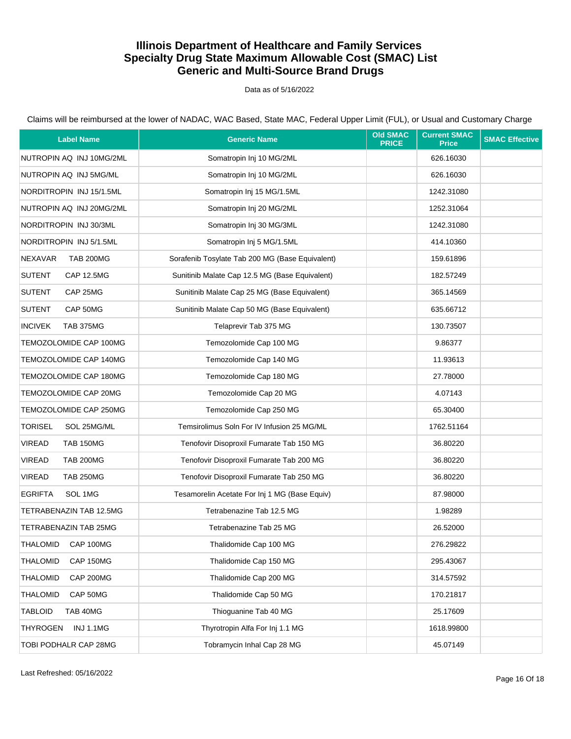Data as of 5/16/2022

| <b>Label Name</b>                   | <b>Generic Name</b>                             | <b>Old SMAC</b><br><b>PRICE</b> | <b>Current SMAC</b><br><b>Price</b> | <b>SMAC Effective</b> |
|-------------------------------------|-------------------------------------------------|---------------------------------|-------------------------------------|-----------------------|
| NUTROPIN AQ INJ 10MG/2ML            | Somatropin Inj 10 MG/2ML                        |                                 | 626.16030                           |                       |
| NUTROPIN AQ INJ 5MG/ML              | Somatropin Inj 10 MG/2ML                        |                                 | 626.16030                           |                       |
| NORDITROPIN INJ 15/1.5ML            | Somatropin Inj 15 MG/1.5ML                      |                                 | 1242.31080                          |                       |
| NUTROPIN AQ INJ 20MG/2ML            | Somatropin Inj 20 MG/2ML                        |                                 | 1252.31064                          |                       |
| NORDITROPIN INJ 30/3ML              | Somatropin Inj 30 MG/3ML                        |                                 | 1242.31080                          |                       |
| NORDITROPIN INJ 5/1.5ML             | Somatropin Inj 5 MG/1.5ML                       |                                 | 414.10360                           |                       |
| <b>NEXAVAR</b><br><b>TAB 200MG</b>  | Sorafenib Tosylate Tab 200 MG (Base Equivalent) |                                 | 159.61896                           |                       |
| <b>SUTENT</b><br><b>CAP 12.5MG</b>  | Sunitinib Malate Cap 12.5 MG (Base Equivalent)  |                                 | 182.57249                           |                       |
| <b>SUTENT</b><br>CAP 25MG           | Sunitinib Malate Cap 25 MG (Base Equivalent)    |                                 | 365.14569                           |                       |
| <b>SUTENT</b><br>CAP 50MG           | Sunitinib Malate Cap 50 MG (Base Equivalent)    |                                 | 635.66712                           |                       |
| <b>INCIVEK</b><br><b>TAB 375MG</b>  | Telaprevir Tab 375 MG                           |                                 | 130.73507                           |                       |
| TEMOZOLOMIDE CAP 100MG              | Temozolomide Cap 100 MG                         |                                 | 9.86377                             |                       |
| TEMOZOLOMIDE CAP 140MG              | Temozolomide Cap 140 MG                         |                                 | 11.93613                            |                       |
| TEMOZOLOMIDE CAP 180MG              | Temozolomide Cap 180 MG                         |                                 | 27.78000                            |                       |
| TEMOZOLOMIDE CAP 20MG               | Temozolomide Cap 20 MG                          |                                 | 4.07143                             |                       |
| TEMOZOLOMIDE CAP 250MG              | Temozolomide Cap 250 MG                         |                                 | 65.30400                            |                       |
| <b>TORISEL</b><br>SOL 25MG/ML       | Temsirolimus Soln For IV Infusion 25 MG/ML      |                                 | 1762.51164                          |                       |
| <b>VIREAD</b><br><b>TAB 150MG</b>   | Tenofovir Disoproxil Fumarate Tab 150 MG        |                                 | 36.80220                            |                       |
| <b>VIREAD</b><br><b>TAB 200MG</b>   | Tenofovir Disoproxil Fumarate Tab 200 MG        |                                 | 36.80220                            |                       |
| <b>VIREAD</b><br><b>TAB 250MG</b>   | Tenofovir Disoproxil Fumarate Tab 250 MG        |                                 | 36.80220                            |                       |
| <b>EGRIFTA</b><br>SOL 1MG           | Tesamorelin Acetate For Inj 1 MG (Base Equiv)   |                                 | 87.98000                            |                       |
| TETRABENAZIN TAB 12.5MG             | Tetrabenazine Tab 12.5 MG                       |                                 | 1.98289                             |                       |
| TETRABENAZIN TAB 25MG               | Tetrabenazine Tab 25 MG                         |                                 | 26.52000                            |                       |
| THALOMID<br><b>CAP 100MG</b>        | Thalidomide Cap 100 MG                          |                                 | 276.29822                           |                       |
| <b>THALOMID</b><br>CAP 150MG        | Thalidomide Cap 150 MG                          |                                 | 295.43067                           |                       |
| <b>THALOMID</b><br><b>CAP 200MG</b> | Thalidomide Cap 200 MG                          |                                 | 314.57592                           |                       |
| <b>THALOMID</b><br>CAP 50MG         | Thalidomide Cap 50 MG                           |                                 | 170.21817                           |                       |
| <b>TABLOID</b><br>TAB 40MG          | Thioguanine Tab 40 MG                           |                                 | 25.17609                            |                       |
| <b>THYROGEN</b><br><b>INJ 1.1MG</b> | Thyrotropin Alfa For Inj 1.1 MG                 |                                 | 1618.99800                          |                       |
| TOBI PODHALR CAP 28MG               | Tobramycin Inhal Cap 28 MG                      |                                 | 45.07149                            |                       |